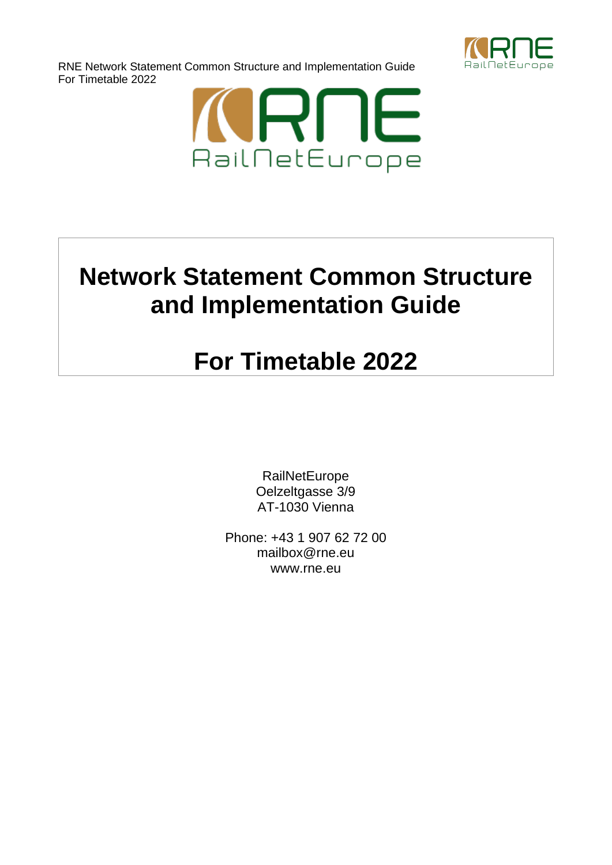

RNE Network Statement Common Structure and Implementation Guide For Timetable 2022



# **Network Statement Common Structure and Implementation Guide**

# **For Timetable 2022**

**RailNetEurope** Oelzeltgasse 3/9 AT-1030 Vienna

Phone: +43 1 907 62 72 00 [mailbox@rne.eu](mailto:mailbox@rne.eu) [www.rne.eu](http://www.rne.eu/)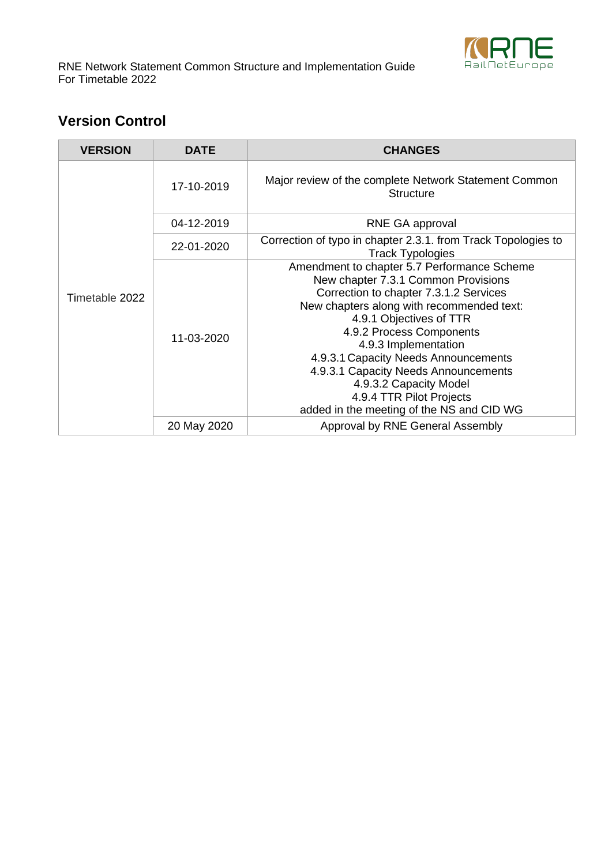

RNE Network Statement Common Structure and Implementation Guide For Timetable 2022

# **Version Control**

| <b>VERSION</b> | <b>DATE</b> | <b>CHANGES</b>                                                                                                                                                                                                                                                                                                                                                                                                                              |
|----------------|-------------|---------------------------------------------------------------------------------------------------------------------------------------------------------------------------------------------------------------------------------------------------------------------------------------------------------------------------------------------------------------------------------------------------------------------------------------------|
|                | 17-10-2019  | Major review of the complete Network Statement Common<br><b>Structure</b>                                                                                                                                                                                                                                                                                                                                                                   |
|                | 04-12-2019  | RNE GA approval                                                                                                                                                                                                                                                                                                                                                                                                                             |
|                | 22-01-2020  | Correction of typo in chapter 2.3.1. from Track Topologies to<br><b>Track Typologies</b>                                                                                                                                                                                                                                                                                                                                                    |
| Timetable 2022 | 11-03-2020  | Amendment to chapter 5.7 Performance Scheme<br>New chapter 7.3.1 Common Provisions<br>Correction to chapter 7.3.1.2 Services<br>New chapters along with recommended text:<br>4.9.1 Objectives of TTR<br>4.9.2 Process Components<br>4.9.3 Implementation<br>4.9.3.1 Capacity Needs Announcements<br>4.9.3.1 Capacity Needs Announcements<br>4.9.3.2 Capacity Model<br>4.9.4 TTR Pilot Projects<br>added in the meeting of the NS and CID WG |
|                | 20 May 2020 | Approval by RNE General Assembly                                                                                                                                                                                                                                                                                                                                                                                                            |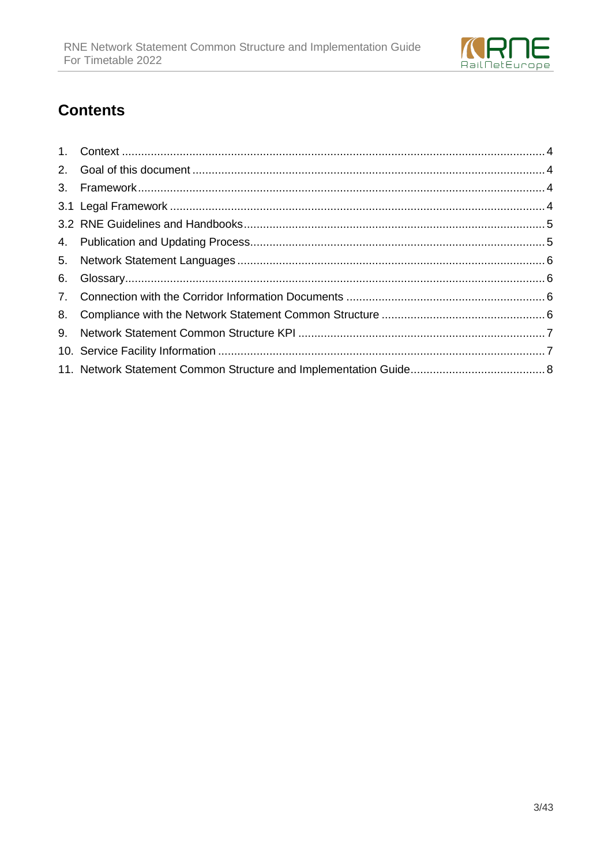

# **Contents**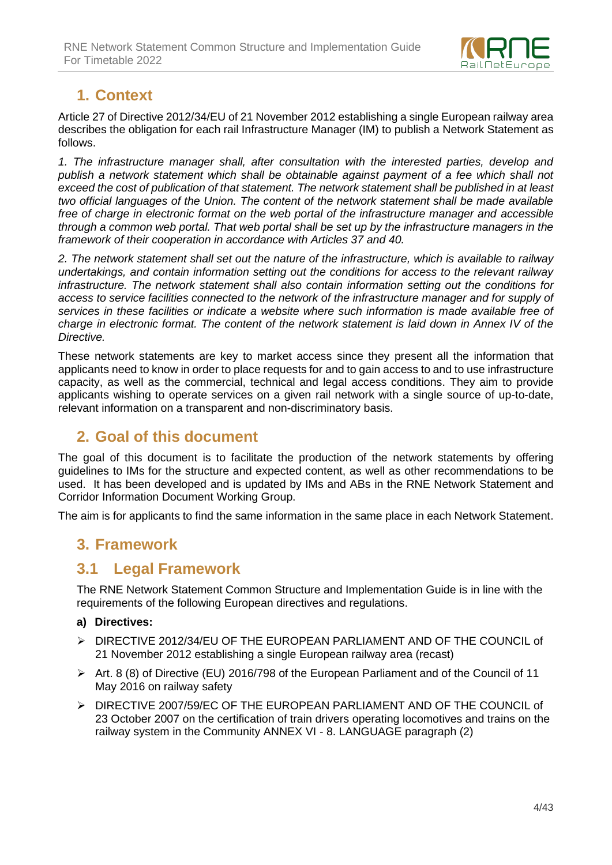

# **1. Context**

Article 27 of Directive 2012/34/EU of 21 November 2012 establishing a single European railway area describes the obligation for each rail Infrastructure Manager (IM) to publish a Network Statement as follows.

*1. The infrastructure manager shall, after consultation with the interested parties, develop and*  publish a network statement which shall be obtainable against payment of a fee which shall not *exceed the cost of publication of that statement. The network statement shall be published in at least two official languages of the Union. The content of the network statement shall be made available free of charge in electronic format on the web portal of the infrastructure manager and accessible through a common web portal. That web portal shall be set up by the infrastructure managers in the framework of their cooperation in accordance with Articles 37 and 40.*

*2. The network statement shall set out the nature of the infrastructure, which is available to railway undertakings, and contain information setting out the conditions for access to the relevant railway infrastructure. The network statement shall also contain information setting out the conditions for access to service facilities connected to the network of the infrastructure manager and for supply of services in these facilities or indicate a website where such information is made available free of charge in electronic format. The content of the network statement is laid down in Annex IV of the Directive.*

These network statements are key to market access since they present all the information that applicants need to know in order to place requests for and to gain access to and to use infrastructure capacity, as well as the commercial, technical and legal access conditions. They aim to provide applicants wishing to operate services on a given rail network with a single source of up-to-date, relevant information on a transparent and non-discriminatory basis.

# **2. Goal of this document**

The goal of this document is to facilitate the production of the network statements by offering guidelines to IMs for the structure and expected content, as well as other recommendations to be used. It has been developed and is updated by IMs and ABs in the RNE Network Statement and Corridor Information Document Working Group.

The aim is for applicants to find the same information in the same place in each Network Statement.

## **3. Framework**

#### **3.1 Legal Framework**

The RNE Network Statement Common Structure and Implementation Guide is in line with the requirements of the following European directives and regulations.

#### **a) Directives:**

- ➢ DIRECTIVE 2012/34/EU OF THE EUROPEAN PARLIAMENT AND OF THE COUNCIL of 21 November 2012 establishing a single European railway area (recast)
- ➢ Art. 8 (8) of Directive (EU) 2016/798 of the European Parliament and of the Council of 11 May 2016 on railway safety
- ➢ DIRECTIVE 2007/59/EC OF THE EUROPEAN PARLIAMENT AND OF THE COUNCIL of 23 October 2007 on the certification of train drivers operating locomotives and trains on the railway system in the Community ANNEX VI - 8. LANGUAGE paragraph (2)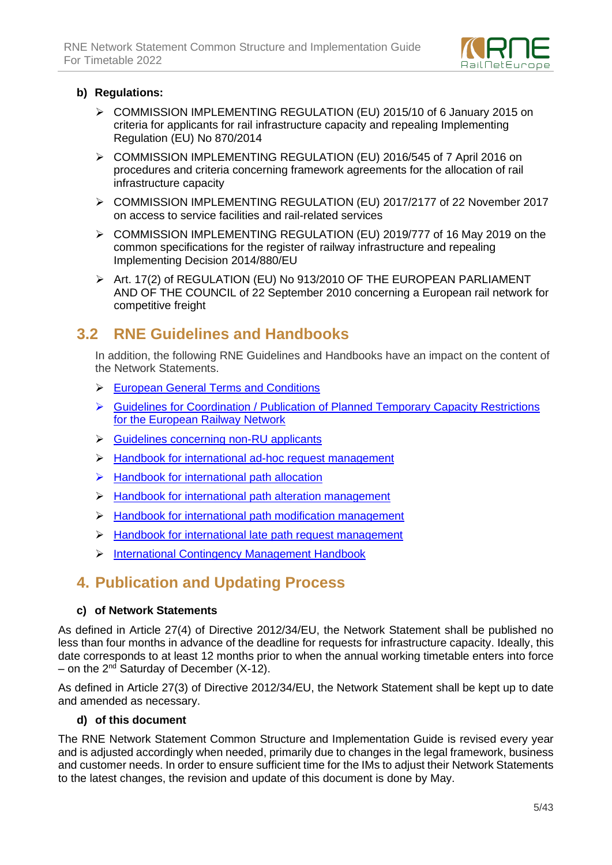

#### **b) Regulations:**

- ➢ COMMISSION IMPLEMENTING REGULATION (EU) 2015/10 of 6 January 2015 on criteria for applicants for rail infrastructure capacity and repealing Implementing Regulation (EU) No 870/2014
- ➢ COMMISSION IMPLEMENTING REGULATION (EU) 2016/545 of 7 April 2016 on procedures and criteria concerning framework agreements for the allocation of rail infrastructure capacity
- ➢ COMMISSION IMPLEMENTING REGULATION (EU) 2017/2177 of 22 November 2017 on access to service facilities and rail-related services
- ➢ COMMISSION IMPLEMENTING REGULATION (EU) 2019/777 of 16 May 2019 on the common specifications for the register of railway infrastructure and repealing Implementing Decision 2014/880/EU
- ➢ Art. 17(2) of REGULATION (EU) No 913/2010 OF THE EUROPEAN PARLIAMENT AND OF THE COUNCIL of 22 September 2010 concerning a European rail network for competitive freight

# **3.2 RNE Guidelines and Handbooks**

In addition, the following RNE Guidelines and Handbooks have an impact on the content of the Network Statements.

- ➢ [European General Terms and Conditions](http://www.rne.eu/wp-content/uploads/E-GTC-I_Agreement_RNE-CIT_EN-FR-DE_2014-09-01.pdf)
- ➢ [Guidelines for Coordination / Publication of Planned Temporary Capacity Restrictions](http://rne.eu/wp-content/uploads/2019-10-17_TCR_Guidelines_V3.00.pdf)  [for the European Railway Network](http://rne.eu/wp-content/uploads/2019-10-17_TCR_Guidelines_V3.00.pdf)
- ➢ [Guidelines concerning non-RU applicants](http://www.rne.eu/wp-content/uploads/2016-01-12_RNE_Guidelines_non-RU_Applicants.pdf)
- ➢ [Handbook for international ad-hoc request management](http://rne.eu/wp-content/uploads/1.2_HB_Ad_Hoc_Management_V2.0_2019-12-04.pdf)
- ➢ [Handbook for international path allocation](http://rne.eu/wp-content/uploads/1.0_HB_Initial_Path_Allocation_V2.0_2019-12-04.pdf)
- ➢ [Handbook for international path alteration management](http://rne.eu/wp-content/uploads/1.4_HB_Path_Alteration_Management_V1.0_2019-12-04.pdf)
- ➢ [Handbook for international path modification management](http://rne.eu/wp-content/uploads/1.3_HB_Path_Modification_Management_V2.0_2019-12-04.pdf)
- ➢ [Handbook for international late path request management](http://www.rne.eu/wp-content/uploads/1.1_HANDB_LPRManagement_20180518.pdf)
- ➢ [International Contingency Management Handbook](http://www.rne.eu/wp-content/uploads/International_Contingency_Management_Handbook_final_v1.5.pdf)

# **4. Publication and Updating Process**

#### **c) of Network Statements**

As defined in Article 27(4) of Directive 2012/34/EU, the Network Statement shall be published no less than four months in advance of the deadline for requests for infrastructure capacity. Ideally, this date corresponds to at least 12 months prior to when the annual working timetable enters into force – on the 2<sup>nd</sup> Saturday of December (X-12).

As defined in Article 27(3) of Directive 2012/34/EU, the Network Statement shall be kept up to date and amended as necessary.

#### **d) of this document**

The RNE Network Statement Common Structure and Implementation Guide is revised every year and is adjusted accordingly when needed, primarily due to changes in the legal framework, business and customer needs. In order to ensure sufficient time for the IMs to adjust their Network Statements to the latest changes, the revision and update of this document is done by May.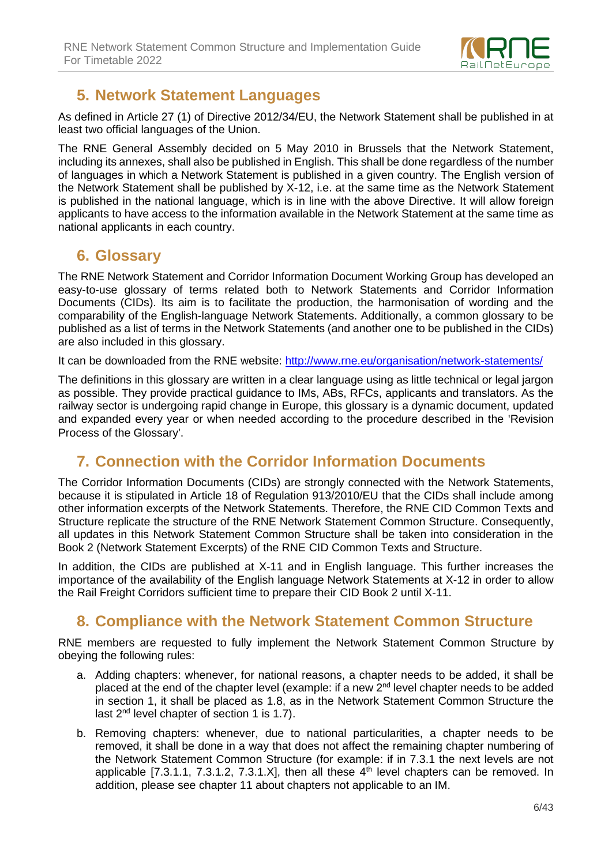

# **5. Network Statement Languages**

As defined in Article 27 (1) of Directive 2012/34/EU, the Network Statement shall be published in at least two official languages of the Union.

The RNE General Assembly decided on 5 May 2010 in Brussels that the Network Statement, including its annexes, shall also be published in English. This shall be done regardless of the number of languages in which a Network Statement is published in a given country. The English version of the Network Statement shall be published by X-12, i.e. at the same time as the Network Statement is published in the national language, which is in line with the above Directive. It will allow foreign applicants to have access to the information available in the Network Statement at the same time as national applicants in each country.

### **6. Glossary**

The RNE Network Statement and Corridor Information Document Working Group has developed an easy-to-use glossary of terms related both to Network Statements and Corridor Information Documents (CIDs). Its aim is to facilitate the production, the harmonisation of wording and the comparability of the English-language Network Statements. Additionally, a common glossary to be published as a list of terms in the Network Statements (and another one to be published in the CIDs) are also included in this glossary.

It can be downloaded from the RNE website:<http://www.rne.eu/organisation/network-statements/>

The definitions in this glossary are written in a clear language using as little technical or legal jargon as possible. They provide practical guidance to IMs, ABs, RFCs, applicants and translators. As the railway sector is undergoing rapid change in Europe, this glossary is a dynamic document, updated and expanded every year or when needed according to the procedure described in the 'Revision Process of the Glossary'.

## **7. Connection with the Corridor Information Documents**

The Corridor Information Documents (CIDs) are strongly connected with the Network Statements, because it is stipulated in Article 18 of Regulation 913/2010/EU that the CIDs shall include among other information excerpts of the Network Statements. Therefore, the RNE CID Common Texts and Structure replicate the structure of the RNE Network Statement Common Structure. Consequently, all updates in this Network Statement Common Structure shall be taken into consideration in the Book 2 (Network Statement Excerpts) of the RNE CID Common Texts and Structure.

In addition, the CIDs are published at X-11 and in English language. This further increases the importance of the availability of the English language Network Statements at X-12 in order to allow the Rail Freight Corridors sufficient time to prepare their CID Book 2 until X-11.

## **8. Compliance with the Network Statement Common Structure**

RNE members are requested to fully implement the Network Statement Common Structure by obeying the following rules:

- a. Adding chapters: whenever, for national reasons, a chapter needs to be added, it shall be placed at the end of the chapter level (example: if a new 2<sup>nd</sup> level chapter needs to be added in section 1, it shall be placed as 1.8, as in the Network Statement Common Structure the last 2<sup>nd</sup> level chapter of section 1 is 1.7).
- b. Removing chapters: whenever, due to national particularities, a chapter needs to be removed, it shall be done in a way that does not affect the remaining chapter numbering of the Network Statement Common Structure (for example: if in 7.3.1 the next levels are not applicable [7.3.1.1, 7.3.1.2, 7.3.1.X], then all these  $4<sup>th</sup>$  level chapters can be removed. In addition, please see chapter 11 about chapters not applicable to an IM.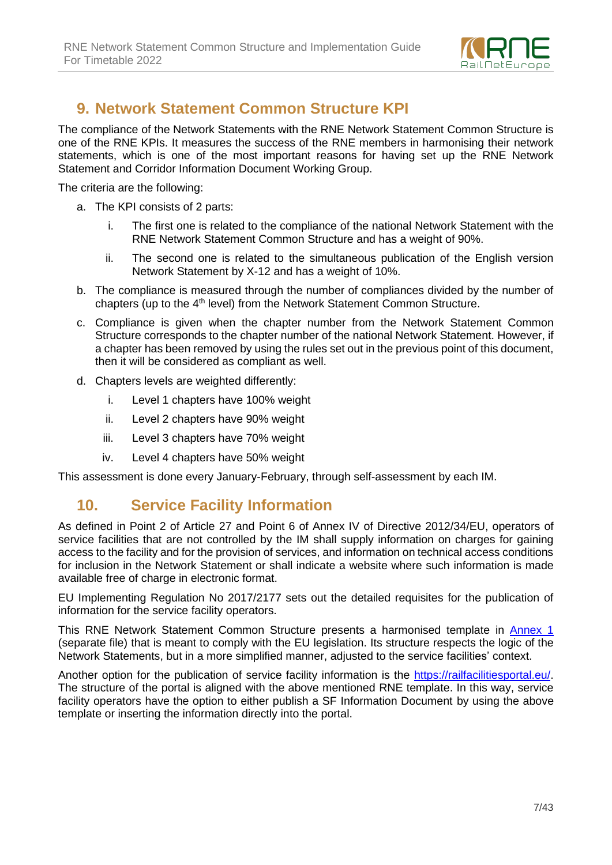

## **9. Network Statement Common Structure KPI**

The compliance of the Network Statements with the RNE Network Statement Common Structure is one of the RNE KPIs. It measures the success of the RNE members in harmonising their network statements, which is one of the most important reasons for having set up the RNE Network Statement and Corridor Information Document Working Group.

The criteria are the following:

- a. The KPI consists of 2 parts:
	- i. The first one is related to the compliance of the national Network Statement with the RNE Network Statement Common Structure and has a weight of 90%.
	- ii. The second one is related to the simultaneous publication of the English version Network Statement by X-12 and has a weight of 10%.
- b. The compliance is measured through the number of compliances divided by the number of chapters (up to the 4<sup>th</sup> level) from the Network Statement Common Structure.
- c. Compliance is given when the chapter number from the Network Statement Common Structure corresponds to the chapter number of the national Network Statement. However, if a chapter has been removed by using the rules set out in the previous point of this document, then it will be considered as compliant as well.
- d. Chapters levels are weighted differently:
	- i. Level 1 chapters have 100% weight
	- ii. Level 2 chapters have 90% weight
	- iii. Level 3 chapters have 70% weight
	- iv. Level 4 chapters have 50% weight

This assessment is done every January-February, through self-assessment by each IM.

#### **10. Service Facility Information**

As defined in Point 2 of Article 27 and Point 6 of Annex IV of Directive 2012/34/EU, operators of service facilities that are not controlled by the IM shall supply information on charges for gaining access to the facility and for the provision of services, and information on technical access conditions for inclusion in the Network Statement or shall indicate a website where such information is made available free of charge in electronic format.

EU Implementing Regulation No 2017/2177 sets out the detailed requisites for the publication of information for the service facility operators.

This RNE Network Statement Common Structure presents a harmonised template in [Annex 1](http://www.rne.eu/wp-content/uploads/Common_template_for_service_facility_information_clean.pdf) (separate file) that is meant to comply with the EU legislation. Its structure respects the logic of the Network Statements, but in a more simplified manner, adjusted to the service facilities' context.

Another option for the publication of service facility information is the [https://railfacilitiesportal.eu/.](https://railfacilitiesportal.eu/) The structure of the portal is aligned with the above mentioned RNE template. In this way, service facility operators have the option to either publish a SF Information Document by using the above template or inserting the information directly into the portal.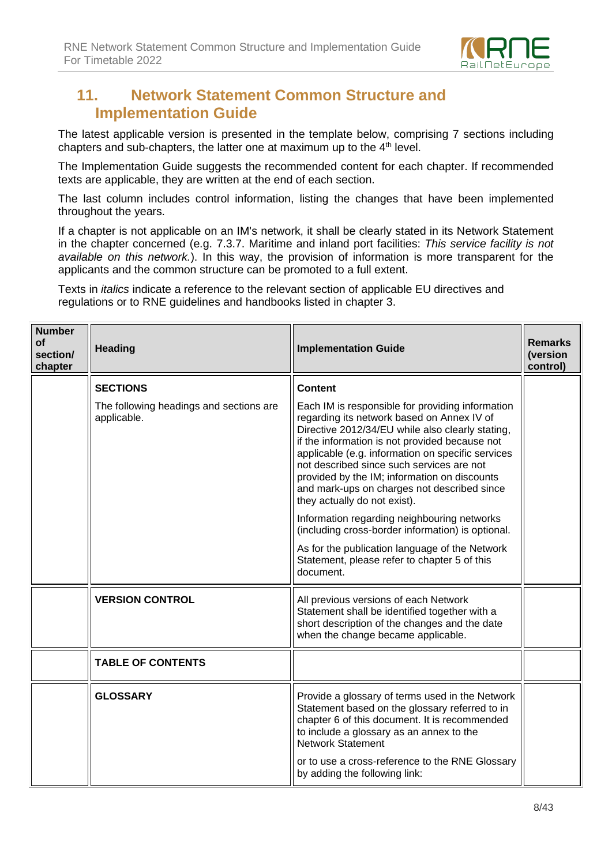

## **11. Network Statement Common Structure and Implementation Guide**

The latest applicable version is presented in the template below, comprising 7 sections including chapters and sub-chapters, the latter one at maximum up to the  $4<sup>th</sup>$  level.

The Implementation Guide suggests the recommended content for each chapter. If recommended texts are applicable, they are written at the end of each section.

The last column includes control information, listing the changes that have been implemented throughout the years.

If a chapter is not applicable on an IM's network, it shall be clearly stated in its Network Statement in the chapter concerned (e.g. 7.3.7. Maritime and inland port facilities: *This service facility is not available on this network.*). In this way, the provision of information is more transparent for the applicants and the common structure can be promoted to a full extent.

Texts in *italics* indicate a reference to the relevant section of applicable EU directives and regulations or to RNE guidelines and handbooks listed in chapter 3.

| <b>Number</b><br><b>of</b><br>section/<br>chapter | <b>Heading</b>                                         | <b>Implementation Guide</b>                                                                                                                                                                                                                                                                                                                                                                                                           | <b>Remarks</b><br>(version<br>control) |
|---------------------------------------------------|--------------------------------------------------------|---------------------------------------------------------------------------------------------------------------------------------------------------------------------------------------------------------------------------------------------------------------------------------------------------------------------------------------------------------------------------------------------------------------------------------------|----------------------------------------|
|                                                   | <b>SECTIONS</b>                                        | <b>Content</b>                                                                                                                                                                                                                                                                                                                                                                                                                        |                                        |
|                                                   | The following headings and sections are<br>applicable. | Each IM is responsible for providing information<br>regarding its network based on Annex IV of<br>Directive 2012/34/EU while also clearly stating,<br>if the information is not provided because not<br>applicable (e.g. information on specific services<br>not described since such services are not<br>provided by the IM; information on discounts<br>and mark-ups on charges not described since<br>they actually do not exist). |                                        |
|                                                   |                                                        | Information regarding neighbouring networks<br>(including cross-border information) is optional.                                                                                                                                                                                                                                                                                                                                      |                                        |
|                                                   |                                                        | As for the publication language of the Network<br>Statement, please refer to chapter 5 of this<br>document.                                                                                                                                                                                                                                                                                                                           |                                        |
|                                                   | <b>VERSION CONTROL</b>                                 | All previous versions of each Network<br>Statement shall be identified together with a<br>short description of the changes and the date<br>when the change became applicable.                                                                                                                                                                                                                                                         |                                        |
|                                                   | <b>TABLE OF CONTENTS</b>                               |                                                                                                                                                                                                                                                                                                                                                                                                                                       |                                        |
|                                                   | <b>GLOSSARY</b>                                        | Provide a glossary of terms used in the Network<br>Statement based on the glossary referred to in<br>chapter 6 of this document. It is recommended<br>to include a glossary as an annex to the<br><b>Network Statement</b><br>or to use a cross-reference to the RNE Glossary<br>by adding the following link:                                                                                                                        |                                        |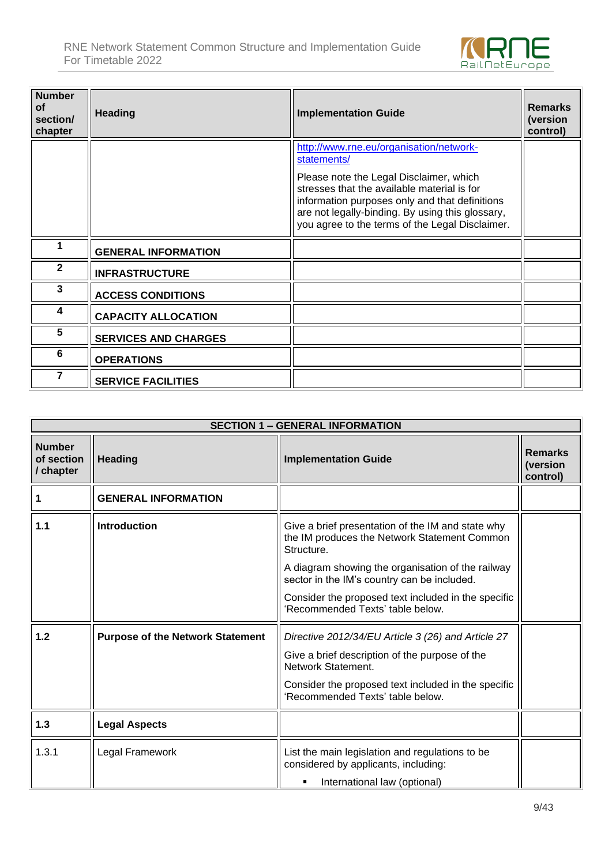

| <b>Number</b><br>of<br>section/<br>chapter | <b>Heading</b>              | <b>Implementation Guide</b>                                                                                                                                                                                                                     | <b>Remarks</b><br>(version<br>control) |
|--------------------------------------------|-----------------------------|-------------------------------------------------------------------------------------------------------------------------------------------------------------------------------------------------------------------------------------------------|----------------------------------------|
|                                            |                             | http://www.rne.eu/organisation/network-<br>statements/                                                                                                                                                                                          |                                        |
|                                            |                             | Please note the Legal Disclaimer, which<br>stresses that the available material is for<br>information purposes only and that definitions<br>are not legally-binding. By using this glossary,<br>you agree to the terms of the Legal Disclaimer. |                                        |
|                                            | <b>GENERAL INFORMATION</b>  |                                                                                                                                                                                                                                                 |                                        |
| $\mathbf{2}$                               | <b>INFRASTRUCTURE</b>       |                                                                                                                                                                                                                                                 |                                        |
| 3                                          | <b>ACCESS CONDITIONS</b>    |                                                                                                                                                                                                                                                 |                                        |
| 4                                          | <b>CAPACITY ALLOCATION</b>  |                                                                                                                                                                                                                                                 |                                        |
| 5                                          | <b>SERVICES AND CHARGES</b> |                                                                                                                                                                                                                                                 |                                        |
| 6                                          | <b>OPERATIONS</b>           |                                                                                                                                                                                                                                                 |                                        |
|                                            | <b>SERVICE FACILITIES</b>   |                                                                                                                                                                                                                                                 |                                        |

|                                          | <b>SECTION 1 - GENERAL INFORMATION</b>  |                                                                                                                 |                                        |  |
|------------------------------------------|-----------------------------------------|-----------------------------------------------------------------------------------------------------------------|----------------------------------------|--|
| <b>Number</b><br>of section<br>/ chapter | <b>Heading</b>                          | <b>Implementation Guide</b>                                                                                     | <b>Remarks</b><br>(version<br>control) |  |
|                                          | <b>GENERAL INFORMATION</b>              |                                                                                                                 |                                        |  |
| 1.1                                      | <b>Introduction</b>                     | Give a brief presentation of the IM and state why<br>the IM produces the Network Statement Common<br>Structure. |                                        |  |
|                                          |                                         | A diagram showing the organisation of the railway<br>sector in the IM's country can be included.                |                                        |  |
|                                          |                                         | Consider the proposed text included in the specific<br>'Recommended Texts' table below.                         |                                        |  |
| 1.2                                      | <b>Purpose of the Network Statement</b> | Directive 2012/34/EU Article 3 (26) and Article 27                                                              |                                        |  |
|                                          |                                         | Give a brief description of the purpose of the<br>Network Statement.                                            |                                        |  |
|                                          |                                         | Consider the proposed text included in the specific<br>'Recommended Texts' table below.                         |                                        |  |
| 1.3                                      | <b>Legal Aspects</b>                    |                                                                                                                 |                                        |  |
| 1.3.1                                    | Legal Framework                         | List the main legislation and regulations to be<br>considered by applicants, including:                         |                                        |  |
|                                          |                                         | International law (optional)<br>٠                                                                               |                                        |  |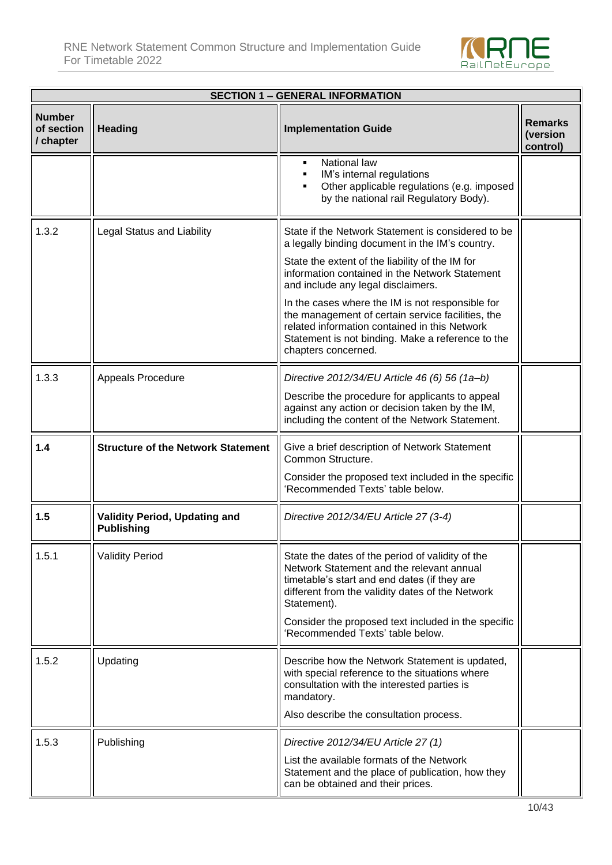

| <b>SECTION 1 - GENERAL INFORMATION</b>   |                                                           |                                                                                                                                                                                                                                                  |                                        |
|------------------------------------------|-----------------------------------------------------------|--------------------------------------------------------------------------------------------------------------------------------------------------------------------------------------------------------------------------------------------------|----------------------------------------|
| <b>Number</b><br>of section<br>/ chapter | <b>Heading</b>                                            | <b>Implementation Guide</b>                                                                                                                                                                                                                      | <b>Remarks</b><br>(version<br>control) |
|                                          |                                                           | National law<br>٠<br>IM's internal regulations<br>Other applicable regulations (e.g. imposed<br>by the national rail Regulatory Body).                                                                                                           |                                        |
| 1.3.2                                    | <b>Legal Status and Liability</b>                         | State if the Network Statement is considered to be<br>a legally binding document in the IM's country.<br>State the extent of the liability of the IM for<br>information contained in the Network Statement<br>and include any legal disclaimers. |                                        |
|                                          |                                                           | In the cases where the IM is not responsible for<br>the management of certain service facilities, the<br>related information contained in this Network<br>Statement is not binding. Make a reference to the<br>chapters concerned.               |                                        |
| 1.3.3                                    | Appeals Procedure                                         | Directive 2012/34/EU Article 46 (6) 56 (1a-b)<br>Describe the procedure for applicants to appeal<br>against any action or decision taken by the IM,<br>including the content of the Network Statement.                                           |                                        |
| 1.4                                      | <b>Structure of the Network Statement</b>                 | Give a brief description of Network Statement<br>Common Structure.<br>Consider the proposed text included in the specific                                                                                                                        |                                        |
|                                          |                                                           | 'Recommended Texts' table below.                                                                                                                                                                                                                 |                                        |
| 1.5                                      | <b>Validity Period, Updating and</b><br><b>Publishing</b> | Directive 2012/34/EU Article 27 (3-4)                                                                                                                                                                                                            |                                        |
| 1.5.1                                    | <b>Validity Period</b>                                    | State the dates of the period of validity of the<br>Network Statement and the relevant annual<br>timetable's start and end dates (if they are<br>different from the validity dates of the Network<br>Statement).                                 |                                        |
|                                          |                                                           | Consider the proposed text included in the specific<br>'Recommended Texts' table below.                                                                                                                                                          |                                        |
| 1.5.2                                    | Updating                                                  | Describe how the Network Statement is updated,<br>with special reference to the situations where<br>consultation with the interested parties is<br>mandatory.                                                                                    |                                        |
|                                          |                                                           | Also describe the consultation process.                                                                                                                                                                                                          |                                        |
| 1.5.3                                    | Publishing                                                | Directive 2012/34/EU Article 27 (1)<br>List the available formats of the Network<br>Statement and the place of publication, how they<br>can be obtained and their prices.                                                                        |                                        |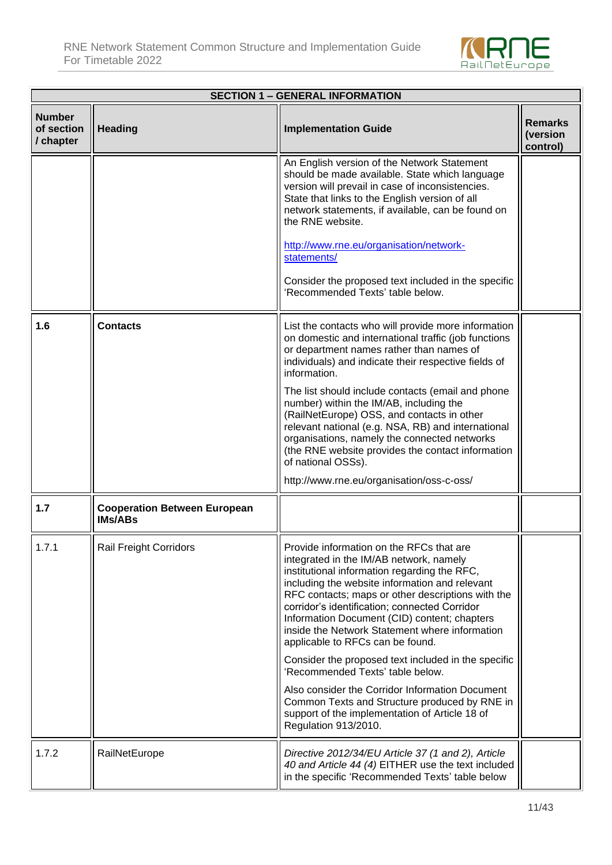

| <b>SECTION 1 - GENERAL INFORMATION</b>   |                                                       |                                                                                                                                                                                                                                                                                                                                                                                                                                   |                                        |
|------------------------------------------|-------------------------------------------------------|-----------------------------------------------------------------------------------------------------------------------------------------------------------------------------------------------------------------------------------------------------------------------------------------------------------------------------------------------------------------------------------------------------------------------------------|----------------------------------------|
| <b>Number</b><br>of section<br>/ chapter | <b>Heading</b>                                        | <b>Implementation Guide</b>                                                                                                                                                                                                                                                                                                                                                                                                       | <b>Remarks</b><br>(version<br>control) |
|                                          |                                                       | An English version of the Network Statement<br>should be made available. State which language<br>version will prevail in case of inconsistencies.<br>State that links to the English version of all<br>network statements, if available, can be found on<br>the RNE website.<br>http://www.rne.eu/organisation/network-<br>statements/<br>Consider the proposed text included in the specific<br>'Recommended Texts' table below. |                                        |
| 1.6                                      | <b>Contacts</b>                                       | List the contacts who will provide more information<br>on domestic and international traffic (job functions<br>or department names rather than names of<br>individuals) and indicate their respective fields of<br>information.                                                                                                                                                                                                   |                                        |
|                                          |                                                       | The list should include contacts (email and phone<br>number) within the IM/AB, including the<br>(RailNetEurope) OSS, and contacts in other<br>relevant national (e.g. NSA, RB) and international<br>organisations, namely the connected networks<br>(the RNE website provides the contact information<br>of national OSSs).                                                                                                       |                                        |
|                                          |                                                       | http://www.rne.eu/organisation/oss-c-oss/                                                                                                                                                                                                                                                                                                                                                                                         |                                        |
| 1.7                                      | <b>Cooperation Between European</b><br><b>IMs/ABs</b> |                                                                                                                                                                                                                                                                                                                                                                                                                                   |                                        |
| 1.7.1                                    | <b>Rail Freight Corridors</b>                         | Provide information on the RFCs that are<br>integrated in the IM/AB network, namely<br>institutional information regarding the RFC,<br>including the website information and relevant<br>RFC contacts; maps or other descriptions with the<br>corridor's identification; connected Corridor<br>Information Document (CID) content; chapters<br>inside the Network Statement where information<br>applicable to RFCs can be found. |                                        |
|                                          |                                                       | Consider the proposed text included in the specific<br>'Recommended Texts' table below.                                                                                                                                                                                                                                                                                                                                           |                                        |
|                                          |                                                       | Also consider the Corridor Information Document<br>Common Texts and Structure produced by RNE in<br>support of the implementation of Article 18 of<br>Regulation 913/2010.                                                                                                                                                                                                                                                        |                                        |
| 1.7.2                                    | RailNetEurope                                         | Directive 2012/34/EU Article 37 (1 and 2), Article<br>40 and Article 44 (4) EITHER use the text included<br>in the specific 'Recommended Texts' table below                                                                                                                                                                                                                                                                       |                                        |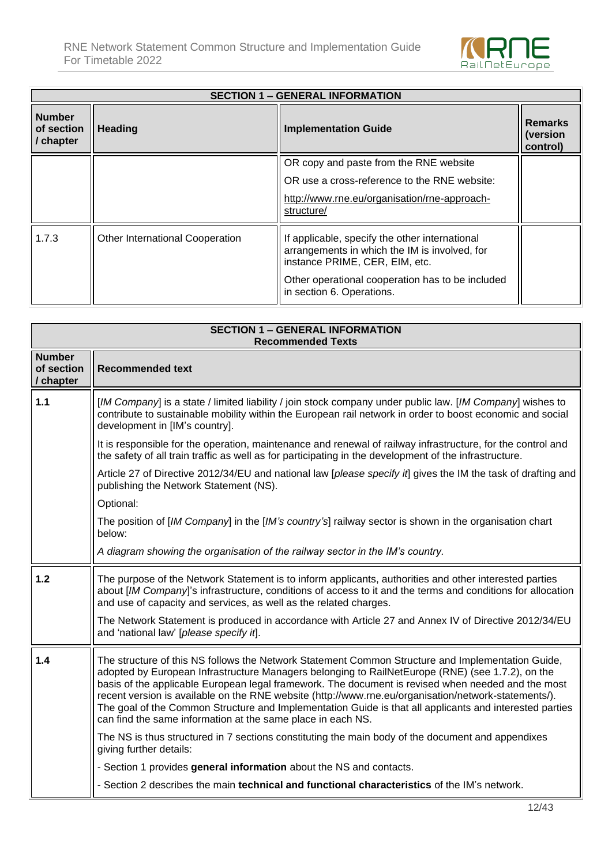

| <b>SECTION 1 - GENERAL INFORMATION</b>   |                                        |                                                                                                                                                                                                                    |                                        |
|------------------------------------------|----------------------------------------|--------------------------------------------------------------------------------------------------------------------------------------------------------------------------------------------------------------------|----------------------------------------|
| <b>Number</b><br>of section<br>/ chapter | Heading                                | <b>Implementation Guide</b>                                                                                                                                                                                        | <b>Remarks</b><br>(version<br>control) |
|                                          |                                        | OR copy and paste from the RNE website                                                                                                                                                                             |                                        |
|                                          |                                        | OR use a cross-reference to the RNE website:                                                                                                                                                                       |                                        |
|                                          |                                        | http://www.rne.eu/organisation/rne-approach-<br>structure/                                                                                                                                                         |                                        |
| 1.7.3                                    | <b>Other International Cooperation</b> | If applicable, specify the other international<br>arrangements in which the IM is involved, for<br>instance PRIME, CER, EIM, etc.<br>Other operational cooperation has to be included<br>in section 6. Operations. |                                        |

|                                          | <b>SECTION 1 - GENERAL INFORMATION</b><br><b>Recommended Texts</b>                                                                                                                                                                                                                                                                                                                                                                                                                                                                                                                            |
|------------------------------------------|-----------------------------------------------------------------------------------------------------------------------------------------------------------------------------------------------------------------------------------------------------------------------------------------------------------------------------------------------------------------------------------------------------------------------------------------------------------------------------------------------------------------------------------------------------------------------------------------------|
| <b>Number</b><br>of section<br>/ chapter | <b>Recommended text</b>                                                                                                                                                                                                                                                                                                                                                                                                                                                                                                                                                                       |
| $1.1$                                    | [IM Company] is a state / limited liability / join stock company under public law. [IM Company] wishes to<br>contribute to sustainable mobility within the European rail network in order to boost economic and social<br>development in [IM's country].                                                                                                                                                                                                                                                                                                                                      |
|                                          | It is responsible for the operation, maintenance and renewal of railway infrastructure, for the control and<br>the safety of all train traffic as well as for participating in the development of the infrastructure.                                                                                                                                                                                                                                                                                                                                                                         |
|                                          | Article 27 of Directive 2012/34/EU and national law [please specify if] gives the IM the task of drafting and<br>publishing the Network Statement (NS).                                                                                                                                                                                                                                                                                                                                                                                                                                       |
|                                          | Optional:                                                                                                                                                                                                                                                                                                                                                                                                                                                                                                                                                                                     |
|                                          | The position of [IM Company] in the [IM's country's] railway sector is shown in the organisation chart<br>below:                                                                                                                                                                                                                                                                                                                                                                                                                                                                              |
|                                          | A diagram showing the organisation of the railway sector in the IM's country.                                                                                                                                                                                                                                                                                                                                                                                                                                                                                                                 |
| 1.2                                      | The purpose of the Network Statement is to inform applicants, authorities and other interested parties<br>about [IM Company]'s infrastructure, conditions of access to it and the terms and conditions for allocation<br>and use of capacity and services, as well as the related charges.                                                                                                                                                                                                                                                                                                    |
|                                          | The Network Statement is produced in accordance with Article 27 and Annex IV of Directive 2012/34/EU<br>and 'national law' [please specify it].                                                                                                                                                                                                                                                                                                                                                                                                                                               |
| 1.4                                      | The structure of this NS follows the Network Statement Common Structure and Implementation Guide,<br>adopted by European Infrastructure Managers belonging to RailNetEurope (RNE) (see 1.7.2), on the<br>basis of the applicable European legal framework. The document is revised when needed and the most<br>recent version is available on the RNE website (http://www.rne.eu/organisation/network-statements/).<br>The goal of the Common Structure and Implementation Guide is that all applicants and interested parties<br>can find the same information at the same place in each NS. |
|                                          | The NS is thus structured in 7 sections constituting the main body of the document and appendixes<br>giving further details:                                                                                                                                                                                                                                                                                                                                                                                                                                                                  |
|                                          | - Section 1 provides general information about the NS and contacts.                                                                                                                                                                                                                                                                                                                                                                                                                                                                                                                           |
|                                          | - Section 2 describes the main technical and functional characteristics of the IM's network.                                                                                                                                                                                                                                                                                                                                                                                                                                                                                                  |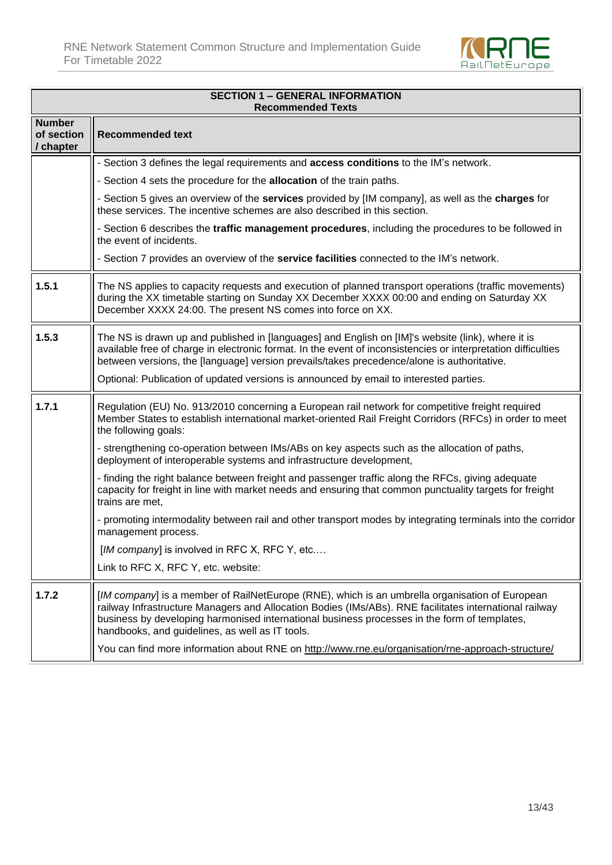

|                                          | <b>SECTION 1 - GENERAL INFORMATION</b><br><b>Recommended Texts</b>                                                                                                                                                                                                                                                                                          |  |  |
|------------------------------------------|-------------------------------------------------------------------------------------------------------------------------------------------------------------------------------------------------------------------------------------------------------------------------------------------------------------------------------------------------------------|--|--|
| <b>Number</b><br>of section<br>/ chapter | <b>Recommended text</b>                                                                                                                                                                                                                                                                                                                                     |  |  |
|                                          | - Section 3 defines the legal requirements and <b>access conditions</b> to the IM's network.                                                                                                                                                                                                                                                                |  |  |
|                                          | - Section 4 sets the procedure for the allocation of the train paths.                                                                                                                                                                                                                                                                                       |  |  |
|                                          | - Section 5 gives an overview of the services provided by [IM company], as well as the charges for<br>these services. The incentive schemes are also described in this section.                                                                                                                                                                             |  |  |
|                                          | - Section 6 describes the traffic management procedures, including the procedures to be followed in<br>the event of incidents.                                                                                                                                                                                                                              |  |  |
|                                          | - Section 7 provides an overview of the service facilities connected to the IM's network.                                                                                                                                                                                                                                                                   |  |  |
| 1.5.1                                    | The NS applies to capacity requests and execution of planned transport operations (traffic movements)<br>during the XX timetable starting on Sunday XX December XXXX 00:00 and ending on Saturday XX<br>December XXXX 24:00. The present NS comes into force on XX.                                                                                         |  |  |
| 1.5.3                                    | The NS is drawn up and published in [languages] and English on [IM]'s website (link), where it is<br>available free of charge in electronic format. In the event of inconsistencies or interpretation difficulties<br>between versions, the [language] version prevails/takes precedence/alone is authoritative.                                            |  |  |
|                                          | Optional: Publication of updated versions is announced by email to interested parties.                                                                                                                                                                                                                                                                      |  |  |
| 1.7.1                                    | Regulation (EU) No. 913/2010 concerning a European rail network for competitive freight required<br>Member States to establish international market-oriented Rail Freight Corridors (RFCs) in order to meet<br>the following goals:                                                                                                                         |  |  |
|                                          | - strengthening co-operation between IMs/ABs on key aspects such as the allocation of paths,<br>deployment of interoperable systems and infrastructure development,                                                                                                                                                                                         |  |  |
|                                          | - finding the right balance between freight and passenger traffic along the RFCs, giving adequate<br>capacity for freight in line with market needs and ensuring that common punctuality targets for freight<br>trains are met,                                                                                                                             |  |  |
|                                          | - promoting intermodality between rail and other transport modes by integrating terminals into the corridor<br>management process.                                                                                                                                                                                                                          |  |  |
|                                          | [IM company] is involved in RFC X, RFC Y, etc                                                                                                                                                                                                                                                                                                               |  |  |
|                                          | Link to RFC X, RFC Y, etc. website:                                                                                                                                                                                                                                                                                                                         |  |  |
| 1.7.2                                    | [IM company] is a member of RailNetEurope (RNE), which is an umbrella organisation of European<br>railway Infrastructure Managers and Allocation Bodies (IMs/ABs). RNE facilitates international railway<br>business by developing harmonised international business processes in the form of templates,<br>handbooks, and guidelines, as well as IT tools. |  |  |
|                                          | You can find more information about RNE on http://www.rne.eu/organisation/rne-approach-structure/                                                                                                                                                                                                                                                           |  |  |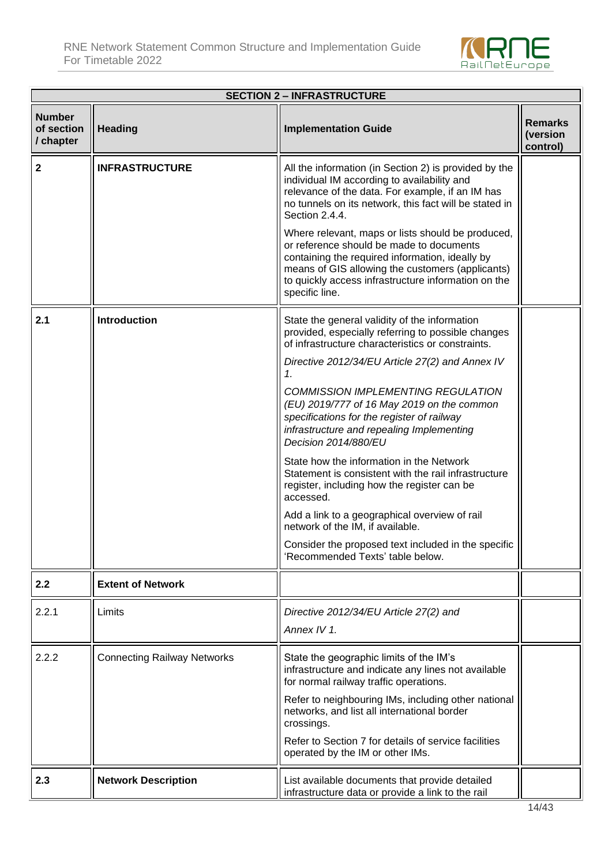

| <b>SECTION 2 - INFRASTRUCTURE</b>        |                                    |                                                                                                                                                                                                                                                                               |                                        |
|------------------------------------------|------------------------------------|-------------------------------------------------------------------------------------------------------------------------------------------------------------------------------------------------------------------------------------------------------------------------------|----------------------------------------|
| <b>Number</b><br>of section<br>/ chapter | <b>Heading</b>                     | <b>Implementation Guide</b>                                                                                                                                                                                                                                                   | <b>Remarks</b><br>(version<br>control) |
| $\overline{\mathbf{2}}$                  | <b>INFRASTRUCTURE</b>              | All the information (in Section 2) is provided by the<br>individual IM according to availability and<br>relevance of the data. For example, if an IM has<br>no tunnels on its network, this fact will be stated in<br>Section 2.4.4.                                          |                                        |
|                                          |                                    | Where relevant, maps or lists should be produced,<br>or reference should be made to documents<br>containing the required information, ideally by<br>means of GIS allowing the customers (applicants)<br>to quickly access infrastructure information on the<br>specific line. |                                        |
| 2.1                                      | <b>Introduction</b>                | State the general validity of the information<br>provided, especially referring to possible changes<br>of infrastructure characteristics or constraints.                                                                                                                      |                                        |
|                                          |                                    | Directive 2012/34/EU Article 27(2) and Annex IV<br>1.                                                                                                                                                                                                                         |                                        |
|                                          |                                    | <b>COMMISSION IMPLEMENTING REGULATION</b><br>(EU) 2019/777 of 16 May 2019 on the common<br>specifications for the register of railway<br>infrastructure and repealing Implementing<br>Decision 2014/880/EU                                                                    |                                        |
|                                          |                                    | State how the information in the Network<br>Statement is consistent with the rail infrastructure<br>register, including how the register can be<br>accessed.                                                                                                                  |                                        |
|                                          |                                    | Add a link to a geographical overview of rail<br>network of the IM, if available.                                                                                                                                                                                             |                                        |
|                                          |                                    | Consider the proposed text included in the specific<br>Recommended Texts' table below.                                                                                                                                                                                        |                                        |
| 2.2                                      | <b>Extent of Network</b>           |                                                                                                                                                                                                                                                                               |                                        |
| 2.2.1                                    | Limits                             | Directive 2012/34/EU Article 27(2) and<br>Annex IV 1.                                                                                                                                                                                                                         |                                        |
| 2.2.2                                    | <b>Connecting Railway Networks</b> | State the geographic limits of the IM's<br>infrastructure and indicate any lines not available<br>for normal railway traffic operations.                                                                                                                                      |                                        |
|                                          |                                    | Refer to neighbouring IMs, including other national<br>networks, and list all international border<br>crossings.                                                                                                                                                              |                                        |
|                                          |                                    | Refer to Section 7 for details of service facilities<br>operated by the IM or other IMs.                                                                                                                                                                                      |                                        |
| 2.3                                      | <b>Network Description</b>         | List available documents that provide detailed<br>infrastructure data or provide a link to the rail                                                                                                                                                                           |                                        |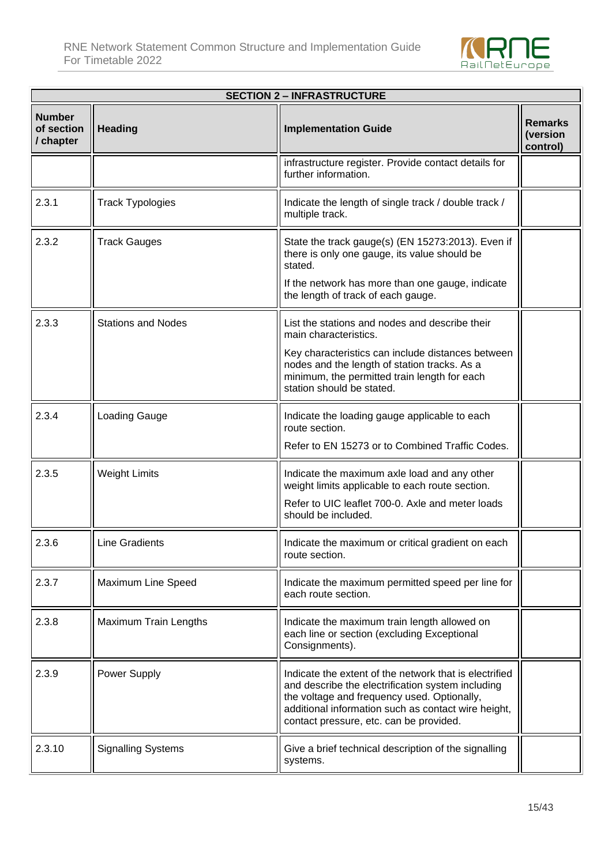

|                                          | <b>SECTION 2 - INFRASTRUCTURE</b> |                                                                                                                                                                                                                                                              |                                        |  |
|------------------------------------------|-----------------------------------|--------------------------------------------------------------------------------------------------------------------------------------------------------------------------------------------------------------------------------------------------------------|----------------------------------------|--|
| <b>Number</b><br>of section<br>/ chapter | <b>Heading</b>                    | <b>Implementation Guide</b>                                                                                                                                                                                                                                  | <b>Remarks</b><br>(version<br>control) |  |
|                                          |                                   | infrastructure register. Provide contact details for<br>further information.                                                                                                                                                                                 |                                        |  |
| 2.3.1                                    | <b>Track Typologies</b>           | Indicate the length of single track / double track /<br>multiple track.                                                                                                                                                                                      |                                        |  |
| 2.3.2                                    | <b>Track Gauges</b>               | State the track gauge(s) (EN 15273:2013). Even if<br>there is only one gauge, its value should be<br>stated.                                                                                                                                                 |                                        |  |
|                                          |                                   | If the network has more than one gauge, indicate<br>the length of track of each gauge.                                                                                                                                                                       |                                        |  |
| 2.3.3                                    | <b>Stations and Nodes</b>         | List the stations and nodes and describe their<br>main characteristics.                                                                                                                                                                                      |                                        |  |
|                                          |                                   | Key characteristics can include distances between<br>nodes and the length of station tracks. As a<br>minimum, the permitted train length for each<br>station should be stated.                                                                               |                                        |  |
| 2.3.4                                    | Loading Gauge                     | Indicate the loading gauge applicable to each<br>route section.                                                                                                                                                                                              |                                        |  |
|                                          |                                   | Refer to EN 15273 or to Combined Traffic Codes.                                                                                                                                                                                                              |                                        |  |
| 2.3.5                                    | <b>Weight Limits</b>              | Indicate the maximum axle load and any other<br>weight limits applicable to each route section.                                                                                                                                                              |                                        |  |
|                                          |                                   | Refer to UIC leaflet 700-0. Axle and meter loads<br>should be included.                                                                                                                                                                                      |                                        |  |
| 2.3.6                                    | <b>Line Gradients</b>             | Indicate the maximum or critical gradient on each<br>route section.                                                                                                                                                                                          |                                        |  |
| 2.3.7                                    | Maximum Line Speed                | Indicate the maximum permitted speed per line for<br>each route section.                                                                                                                                                                                     |                                        |  |
| 2.3.8                                    | <b>Maximum Train Lengths</b>      | Indicate the maximum train length allowed on<br>each line or section (excluding Exceptional<br>Consignments).                                                                                                                                                |                                        |  |
| 2.3.9                                    | Power Supply                      | Indicate the extent of the network that is electrified<br>and describe the electrification system including<br>the voltage and frequency used. Optionally,<br>additional information such as contact wire height,<br>contact pressure, etc. can be provided. |                                        |  |
| 2.3.10                                   | <b>Signalling Systems</b>         | Give a brief technical description of the signalling<br>systems.                                                                                                                                                                                             |                                        |  |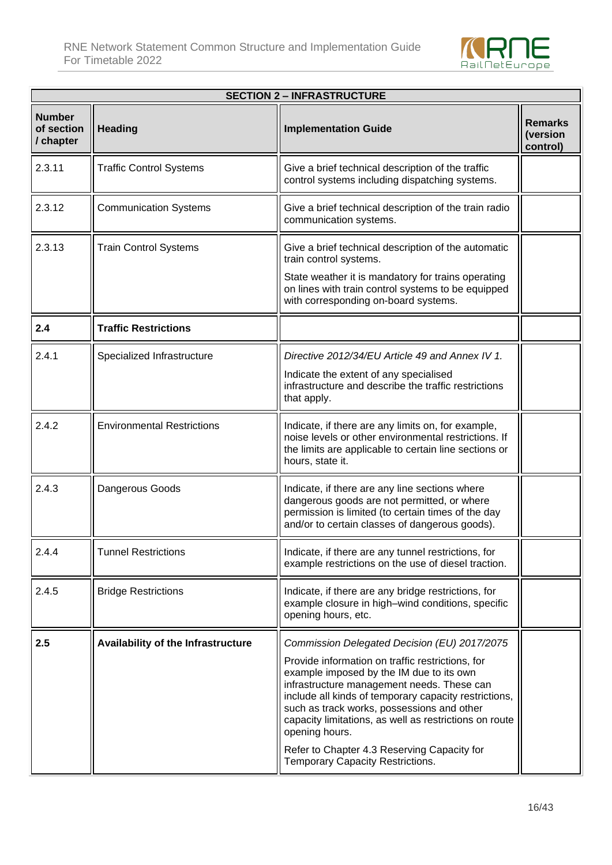

| <b>SECTION 2 - INFRASTRUCTURE</b>        |                                    |                                                                                                                                                                                                                                                                                                                               |                                        |
|------------------------------------------|------------------------------------|-------------------------------------------------------------------------------------------------------------------------------------------------------------------------------------------------------------------------------------------------------------------------------------------------------------------------------|----------------------------------------|
| <b>Number</b><br>of section<br>/ chapter | <b>Heading</b>                     | <b>Implementation Guide</b>                                                                                                                                                                                                                                                                                                   | <b>Remarks</b><br>(version<br>control) |
| 2.3.11                                   | <b>Traffic Control Systems</b>     | Give a brief technical description of the traffic<br>control systems including dispatching systems.                                                                                                                                                                                                                           |                                        |
| 2.3.12                                   | <b>Communication Systems</b>       | Give a brief technical description of the train radio<br>communication systems.                                                                                                                                                                                                                                               |                                        |
| 2.3.13                                   | <b>Train Control Systems</b>       | Give a brief technical description of the automatic<br>train control systems.                                                                                                                                                                                                                                                 |                                        |
|                                          |                                    | State weather it is mandatory for trains operating<br>on lines with train control systems to be equipped<br>with corresponding on-board systems.                                                                                                                                                                              |                                        |
| 2.4                                      | <b>Traffic Restrictions</b>        |                                                                                                                                                                                                                                                                                                                               |                                        |
| 2.4.1                                    | Specialized Infrastructure         | Directive 2012/34/EU Article 49 and Annex IV 1.                                                                                                                                                                                                                                                                               |                                        |
|                                          |                                    | Indicate the extent of any specialised<br>infrastructure and describe the traffic restrictions<br>that apply.                                                                                                                                                                                                                 |                                        |
| 2.4.2                                    | <b>Environmental Restrictions</b>  | Indicate, if there are any limits on, for example,<br>noise levels or other environmental restrictions. If<br>the limits are applicable to certain line sections or<br>hours, state it.                                                                                                                                       |                                        |
| 2.4.3                                    | Dangerous Goods                    | Indicate, if there are any line sections where<br>dangerous goods are not permitted, or where<br>permission is limited (to certain times of the day<br>and/or to certain classes of dangerous goods).                                                                                                                         |                                        |
| 2.4.4                                    | <b>Tunnel Restrictions</b>         | Indicate, if there are any tunnel restrictions, for<br>example restrictions on the use of diesel traction.                                                                                                                                                                                                                    |                                        |
| 2.4.5                                    | <b>Bridge Restrictions</b>         | Indicate, if there are any bridge restrictions, for<br>example closure in high-wind conditions, specific<br>opening hours, etc.                                                                                                                                                                                               |                                        |
| 2.5                                      | Availability of the Infrastructure | Commission Delegated Decision (EU) 2017/2075                                                                                                                                                                                                                                                                                  |                                        |
|                                          |                                    | Provide information on traffic restrictions, for<br>example imposed by the IM due to its own<br>infrastructure management needs. These can<br>include all kinds of temporary capacity restrictions,<br>such as track works, possessions and other<br>capacity limitations, as well as restrictions on route<br>opening hours. |                                        |
|                                          |                                    | Refer to Chapter 4.3 Reserving Capacity for<br>Temporary Capacity Restrictions.                                                                                                                                                                                                                                               |                                        |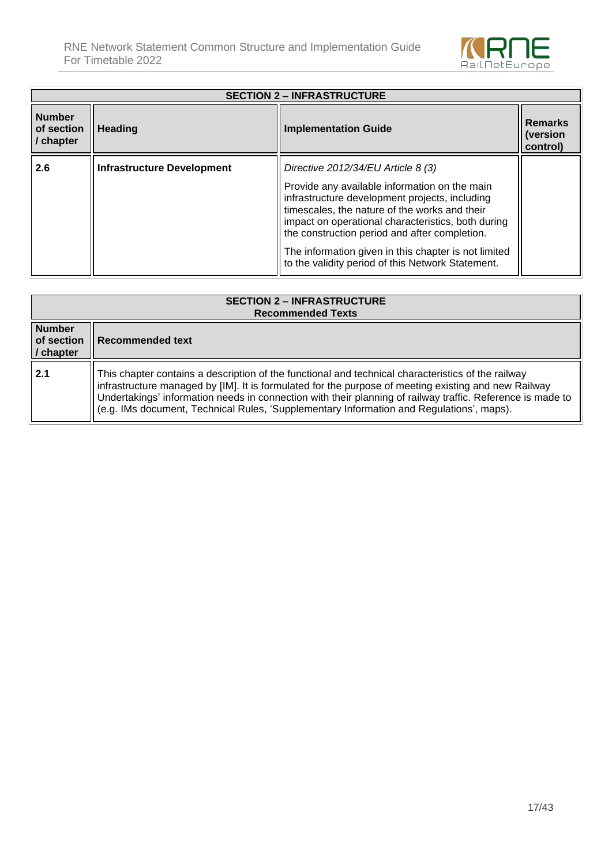

|                                          | <b>SECTION 2 - INFRASTRUCTURE</b> |                                                                                                                                                                                                                                                                                                                                                                                                              |                                        |  |
|------------------------------------------|-----------------------------------|--------------------------------------------------------------------------------------------------------------------------------------------------------------------------------------------------------------------------------------------------------------------------------------------------------------------------------------------------------------------------------------------------------------|----------------------------------------|--|
| <b>Number</b><br>of section<br>/ chapter | <b>Heading</b>                    | <b>Implementation Guide</b>                                                                                                                                                                                                                                                                                                                                                                                  | <b>Remarks</b><br>(version<br>control) |  |
| 2.6                                      | Infrastructure Development        | Directive $2012/34/EU$ Article 8 (3)<br>Provide any available information on the main<br>infrastructure development projects, including<br>timescales, the nature of the works and their<br>impact on operational characteristics, both during<br>the construction period and after completion.<br>The information given in this chapter is not limited<br>to the validity period of this Network Statement. |                                        |  |

|                                          | <b>SECTION 2 - INFRASTRUCTURE</b><br><b>Recommended Texts</b>                                                                                                                                                                                                                                                                                                                                                        |  |  |
|------------------------------------------|----------------------------------------------------------------------------------------------------------------------------------------------------------------------------------------------------------------------------------------------------------------------------------------------------------------------------------------------------------------------------------------------------------------------|--|--|
| <b>Number</b><br>of section<br>/ chapter | Recommended text                                                                                                                                                                                                                                                                                                                                                                                                     |  |  |
| 2.1                                      | This chapter contains a description of the functional and technical characteristics of the railway<br>infrastructure managed by [IM]. It is formulated for the purpose of meeting existing and new Railway<br>Undertakings' information needs in connection with their planning of railway traffic. Reference is made to<br>(e.g. IMs document, Technical Rules, 'Supplementary Information and Regulations', maps). |  |  |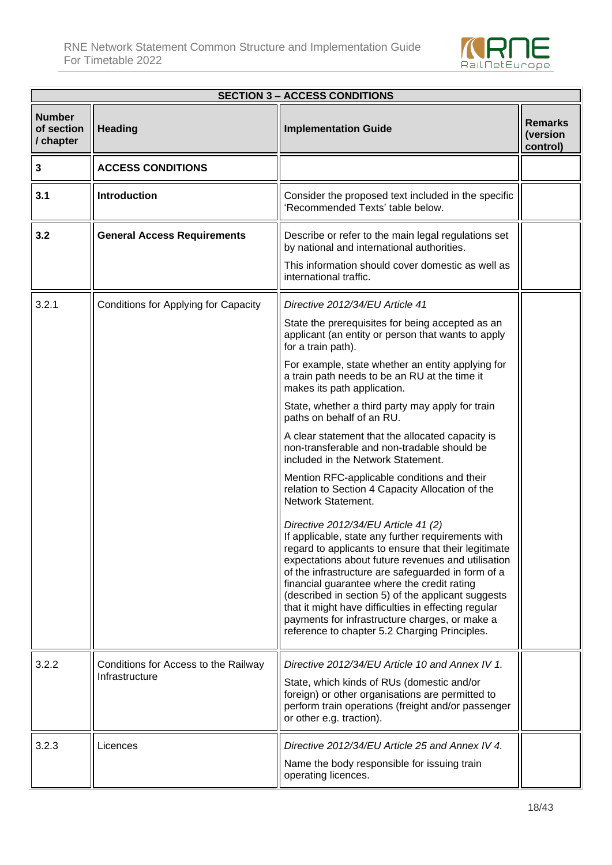Ŧ



٦Í

| <b>SECTION 3 - ACCESS CONDITIONS</b>     |                                                        |                                                                                                                                                                                                                                                                                                                                                                                                                                                                                                                               |                                        |  |
|------------------------------------------|--------------------------------------------------------|-------------------------------------------------------------------------------------------------------------------------------------------------------------------------------------------------------------------------------------------------------------------------------------------------------------------------------------------------------------------------------------------------------------------------------------------------------------------------------------------------------------------------------|----------------------------------------|--|
| <b>Number</b><br>of section<br>/ chapter | <b>Heading</b>                                         | <b>Implementation Guide</b>                                                                                                                                                                                                                                                                                                                                                                                                                                                                                                   | <b>Remarks</b><br>(version<br>control) |  |
| 3                                        | <b>ACCESS CONDITIONS</b>                               |                                                                                                                                                                                                                                                                                                                                                                                                                                                                                                                               |                                        |  |
| 3.1                                      | <b>Introduction</b>                                    | Consider the proposed text included in the specific<br>'Recommended Texts' table below.                                                                                                                                                                                                                                                                                                                                                                                                                                       |                                        |  |
| 3.2                                      | <b>General Access Requirements</b>                     | Describe or refer to the main legal regulations set<br>by national and international authorities.                                                                                                                                                                                                                                                                                                                                                                                                                             |                                        |  |
|                                          |                                                        | This information should cover domestic as well as<br>international traffic.                                                                                                                                                                                                                                                                                                                                                                                                                                                   |                                        |  |
| 3.2.1                                    | Conditions for Applying for Capacity                   | Directive 2012/34/EU Article 41                                                                                                                                                                                                                                                                                                                                                                                                                                                                                               |                                        |  |
|                                          |                                                        | State the prerequisites for being accepted as an<br>applicant (an entity or person that wants to apply<br>for a train path).                                                                                                                                                                                                                                                                                                                                                                                                  |                                        |  |
|                                          |                                                        | For example, state whether an entity applying for<br>a train path needs to be an RU at the time it<br>makes its path application.                                                                                                                                                                                                                                                                                                                                                                                             |                                        |  |
|                                          |                                                        | State, whether a third party may apply for train<br>paths on behalf of an RU.                                                                                                                                                                                                                                                                                                                                                                                                                                                 |                                        |  |
|                                          |                                                        | A clear statement that the allocated capacity is<br>non-transferable and non-tradable should be<br>included in the Network Statement.                                                                                                                                                                                                                                                                                                                                                                                         |                                        |  |
|                                          |                                                        | Mention RFC-applicable conditions and their<br>relation to Section 4 Capacity Allocation of the<br>Network Statement.                                                                                                                                                                                                                                                                                                                                                                                                         |                                        |  |
|                                          |                                                        | Directive 2012/34/EU Article 41 (2)<br>If applicable, state any further requirements with<br>regard to applicants to ensure that their legitimate<br>expectations about future revenues and utilisation<br>of the infrastructure are safeguarded in form of a<br>financial guarantee where the credit rating<br>(described in section 5) of the applicant suggests<br>that it might have difficulties in effecting regular<br>payments for infrastructure charges, or make a<br>reference to chapter 5.2 Charging Principles. |                                        |  |
| 3.2.2                                    | Conditions for Access to the Railway<br>Infrastructure | Directive 2012/34/EU Article 10 and Annex IV 1.<br>State, which kinds of RUs (domestic and/or<br>foreign) or other organisations are permitted to<br>perform train operations (freight and/or passenger<br>or other e.g. traction).                                                                                                                                                                                                                                                                                           |                                        |  |
| 3.2.3                                    | Licences                                               | Directive 2012/34/EU Article 25 and Annex IV 4.<br>Name the body responsible for issuing train                                                                                                                                                                                                                                                                                                                                                                                                                                |                                        |  |
|                                          |                                                        | operating licences.                                                                                                                                                                                                                                                                                                                                                                                                                                                                                                           |                                        |  |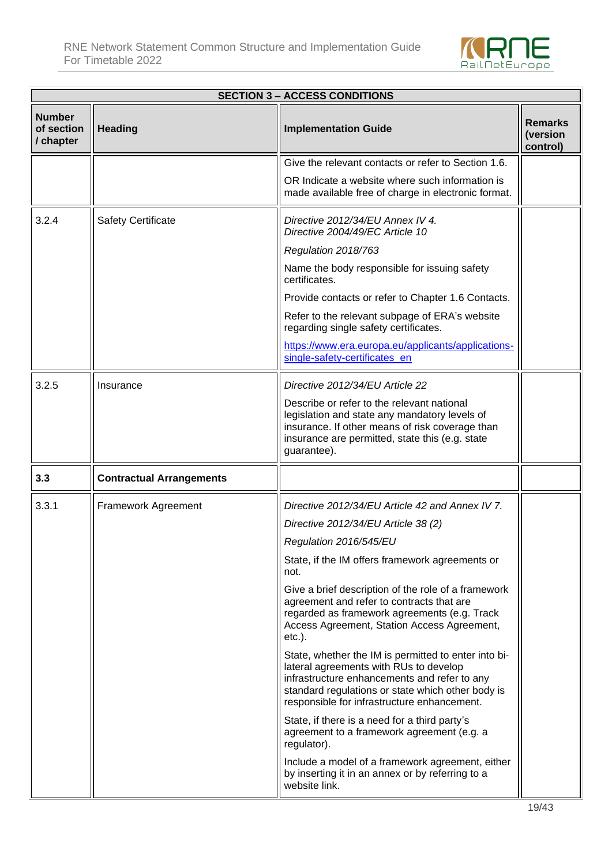

|                                          | <b>SECTION 3 - ACCESS CONDITIONS</b> |                                                                                                                                                                                                                                                    |                                        |  |
|------------------------------------------|--------------------------------------|----------------------------------------------------------------------------------------------------------------------------------------------------------------------------------------------------------------------------------------------------|----------------------------------------|--|
| <b>Number</b><br>of section<br>/ chapter | <b>Heading</b>                       | <b>Implementation Guide</b>                                                                                                                                                                                                                        | <b>Remarks</b><br>(version<br>control) |  |
|                                          |                                      | Give the relevant contacts or refer to Section 1.6.                                                                                                                                                                                                |                                        |  |
|                                          |                                      | OR Indicate a website where such information is<br>made available free of charge in electronic format.                                                                                                                                             |                                        |  |
| 3.2.4                                    | <b>Safety Certificate</b>            | Directive 2012/34/EU Annex IV 4.<br>Directive 2004/49/EC Article 10                                                                                                                                                                                |                                        |  |
|                                          |                                      | Regulation 2018/763                                                                                                                                                                                                                                |                                        |  |
|                                          |                                      | Name the body responsible for issuing safety<br>certificates.                                                                                                                                                                                      |                                        |  |
|                                          |                                      | Provide contacts or refer to Chapter 1.6 Contacts.                                                                                                                                                                                                 |                                        |  |
|                                          |                                      | Refer to the relevant subpage of ERA's website<br>regarding single safety certificates.                                                                                                                                                            |                                        |  |
|                                          |                                      | https://www.era.europa.eu/applicants/applications-<br>single-safety-certificates_en                                                                                                                                                                |                                        |  |
| 3.2.5                                    | Insurance                            | Directive 2012/34/EU Article 22                                                                                                                                                                                                                    |                                        |  |
|                                          |                                      | Describe or refer to the relevant national<br>legislation and state any mandatory levels of<br>insurance. If other means of risk coverage than<br>insurance are permitted, state this (e.g. state<br>guarantee).                                   |                                        |  |
| 3.3                                      | <b>Contractual Arrangements</b>      |                                                                                                                                                                                                                                                    |                                        |  |
| 3.3.1                                    | Framework Agreement                  | Directive 2012/34/EU Article 42 and Annex IV 7.                                                                                                                                                                                                    |                                        |  |
|                                          |                                      | Directive 2012/34/EU Article 38 (2)                                                                                                                                                                                                                |                                        |  |
|                                          |                                      | Regulation 2016/545/EU                                                                                                                                                                                                                             |                                        |  |
|                                          |                                      | State, if the IM offers framework agreements or<br>not.                                                                                                                                                                                            |                                        |  |
|                                          |                                      | Give a brief description of the role of a framework<br>agreement and refer to contracts that are<br>regarded as framework agreements (e.g. Track<br>Access Agreement, Station Access Agreement,<br>$etc.$ ).                                       |                                        |  |
|                                          |                                      | State, whether the IM is permitted to enter into bi-<br>lateral agreements with RUs to develop<br>infrastructure enhancements and refer to any<br>standard regulations or state which other body is<br>responsible for infrastructure enhancement. |                                        |  |
|                                          |                                      | State, if there is a need for a third party's<br>agreement to a framework agreement (e.g. a<br>regulator).                                                                                                                                         |                                        |  |
|                                          |                                      | Include a model of a framework agreement, either<br>by inserting it in an annex or by referring to a<br>website link.                                                                                                                              |                                        |  |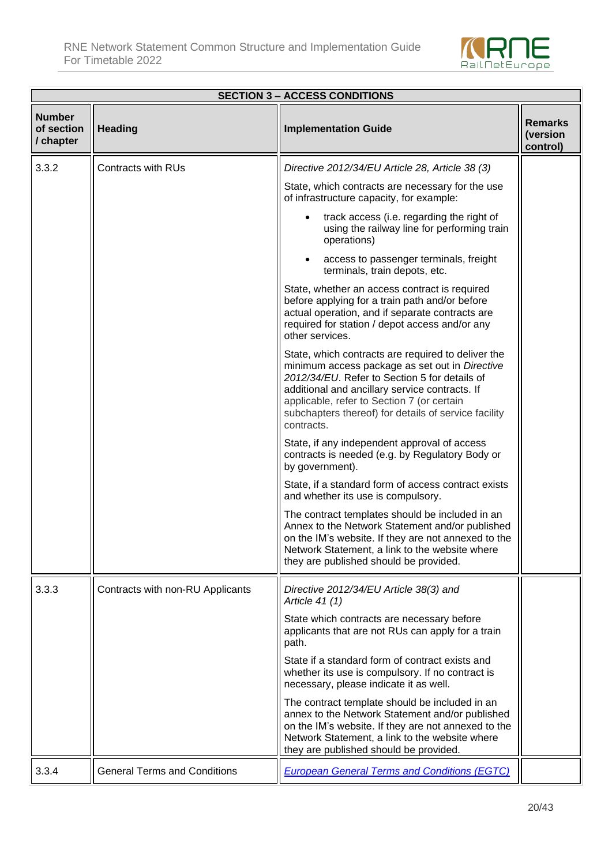

|                                          | <b>SECTION 3 - ACCESS CONDITIONS</b> |                                                                                                                                                                                                                                                                                                                             |                                        |  |
|------------------------------------------|--------------------------------------|-----------------------------------------------------------------------------------------------------------------------------------------------------------------------------------------------------------------------------------------------------------------------------------------------------------------------------|----------------------------------------|--|
| <b>Number</b><br>of section<br>/ chapter | <b>Heading</b>                       | <b>Implementation Guide</b>                                                                                                                                                                                                                                                                                                 | <b>Remarks</b><br>(version<br>control) |  |
| 3.3.2                                    | <b>Contracts with RUs</b>            | Directive 2012/34/EU Article 28, Article 38 (3)                                                                                                                                                                                                                                                                             |                                        |  |
|                                          |                                      | State, which contracts are necessary for the use<br>of infrastructure capacity, for example:                                                                                                                                                                                                                                |                                        |  |
|                                          |                                      | track access (i.e. regarding the right of<br>using the railway line for performing train<br>operations)                                                                                                                                                                                                                     |                                        |  |
|                                          |                                      | access to passenger terminals, freight<br>terminals, train depots, etc.                                                                                                                                                                                                                                                     |                                        |  |
|                                          |                                      | State, whether an access contract is required<br>before applying for a train path and/or before<br>actual operation, and if separate contracts are<br>required for station / depot access and/or any<br>other services.                                                                                                     |                                        |  |
|                                          |                                      | State, which contracts are required to deliver the<br>minimum access package as set out in Directive<br>2012/34/EU. Refer to Section 5 for details of<br>additional and ancillary service contracts. If<br>applicable, refer to Section 7 (or certain<br>subchapters thereof) for details of service facility<br>contracts. |                                        |  |
|                                          |                                      | State, if any independent approval of access<br>contracts is needed (e.g. by Regulatory Body or<br>by government).                                                                                                                                                                                                          |                                        |  |
|                                          |                                      | State, if a standard form of access contract exists<br>and whether its use is compulsory.                                                                                                                                                                                                                                   |                                        |  |
|                                          |                                      | The contract templates should be included in an<br>Annex to the Network Statement and/or published<br>on the IM's website. If they are not annexed to the<br>Network Statement, a link to the website where<br>they are published should be provided.                                                                       |                                        |  |
| 3.3.3                                    | Contracts with non-RU Applicants     | Directive 2012/34/EU Article 38(3) and<br>Article 41 (1)                                                                                                                                                                                                                                                                    |                                        |  |
|                                          |                                      | State which contracts are necessary before<br>applicants that are not RUs can apply for a train<br>path.                                                                                                                                                                                                                    |                                        |  |
|                                          |                                      | State if a standard form of contract exists and<br>whether its use is compulsory. If no contract is<br>necessary, please indicate it as well.                                                                                                                                                                               |                                        |  |
|                                          |                                      | The contract template should be included in an<br>annex to the Network Statement and/or published<br>on the IM's website. If they are not annexed to the<br>Network Statement, a link to the website where<br>they are published should be provided.                                                                        |                                        |  |
| 3.3.4                                    | <b>General Terms and Conditions</b>  | <b>European General Terms and Conditions (EGTC)</b>                                                                                                                                                                                                                                                                         |                                        |  |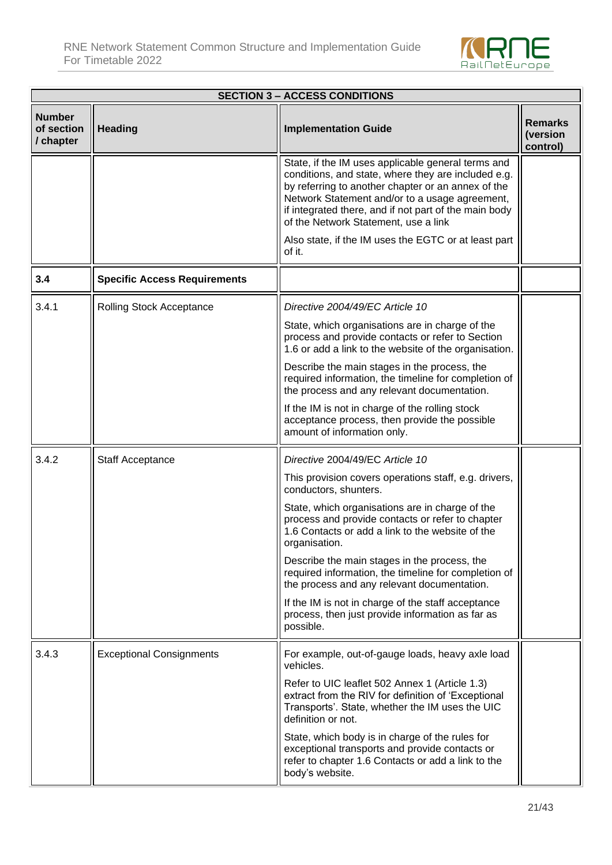

| <b>SECTION 3 - ACCESS CONDITIONS</b>     |                                     |                                                                                                                                                                                                                                                                                                                    |                                        |
|------------------------------------------|-------------------------------------|--------------------------------------------------------------------------------------------------------------------------------------------------------------------------------------------------------------------------------------------------------------------------------------------------------------------|----------------------------------------|
| <b>Number</b><br>of section<br>/ chapter | <b>Heading</b>                      | <b>Implementation Guide</b>                                                                                                                                                                                                                                                                                        | <b>Remarks</b><br>(version<br>control) |
|                                          |                                     | State, if the IM uses applicable general terms and<br>conditions, and state, where they are included e.g.<br>by referring to another chapter or an annex of the<br>Network Statement and/or to a usage agreement,<br>if integrated there, and if not part of the main body<br>of the Network Statement, use a link |                                        |
|                                          |                                     | Also state, if the IM uses the EGTC or at least part<br>of it.                                                                                                                                                                                                                                                     |                                        |
| 3.4                                      | <b>Specific Access Requirements</b> |                                                                                                                                                                                                                                                                                                                    |                                        |
| 3.4.1                                    | <b>Rolling Stock Acceptance</b>     | Directive 2004/49/EC Article 10                                                                                                                                                                                                                                                                                    |                                        |
|                                          |                                     | State, which organisations are in charge of the<br>process and provide contacts or refer to Section<br>1.6 or add a link to the website of the organisation.                                                                                                                                                       |                                        |
|                                          |                                     | Describe the main stages in the process, the<br>required information, the timeline for completion of<br>the process and any relevant documentation.                                                                                                                                                                |                                        |
|                                          |                                     | If the IM is not in charge of the rolling stock<br>acceptance process, then provide the possible<br>amount of information only.                                                                                                                                                                                    |                                        |
| 3.4.2                                    | Staff Acceptance                    | Directive 2004/49/EC Article 10                                                                                                                                                                                                                                                                                    |                                        |
|                                          |                                     | This provision covers operations staff, e.g. drivers,<br>conductors, shunters.                                                                                                                                                                                                                                     |                                        |
|                                          |                                     | State, which organisations are in charge of the<br>process and provide contacts or refer to chapter<br>1.6 Contacts or add a link to the website of the<br>organisation.                                                                                                                                           |                                        |
|                                          |                                     | Describe the main stages in the process, the<br>required information, the timeline for completion of<br>the process and any relevant documentation.                                                                                                                                                                |                                        |
|                                          |                                     | If the IM is not in charge of the staff acceptance<br>process, then just provide information as far as<br>possible.                                                                                                                                                                                                |                                        |
| 3.4.3                                    | <b>Exceptional Consignments</b>     | For example, out-of-gauge loads, heavy axle load<br>vehicles.                                                                                                                                                                                                                                                      |                                        |
|                                          |                                     | Refer to UIC leaflet 502 Annex 1 (Article 1.3)<br>extract from the RIV for definition of 'Exceptional<br>Transports'. State, whether the IM uses the UIC<br>definition or not.                                                                                                                                     |                                        |
|                                          |                                     | State, which body is in charge of the rules for<br>exceptional transports and provide contacts or<br>refer to chapter 1.6 Contacts or add a link to the<br>body's website.                                                                                                                                         |                                        |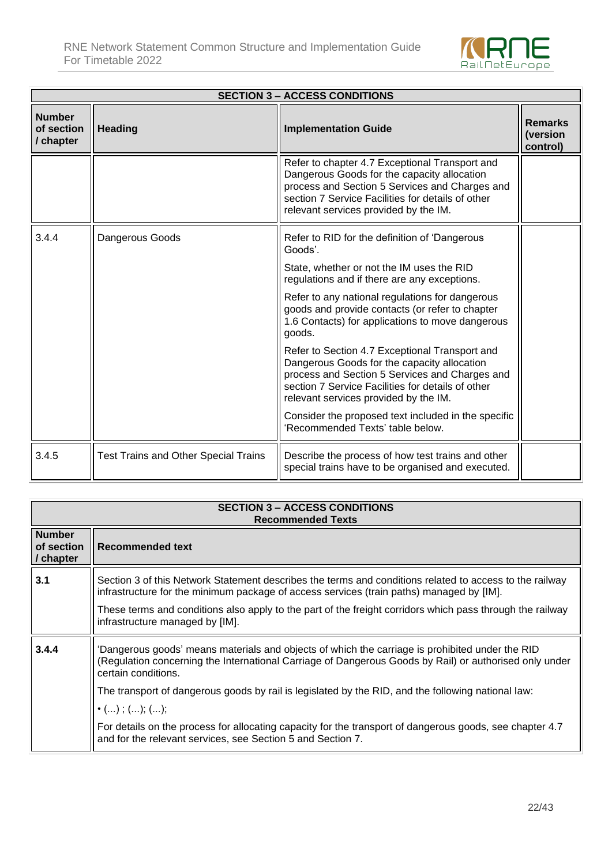

|                                          | <b>SECTION 3 – ACCESS CONDITIONS</b>        |                                                                                                                                                                                                                                               |                                        |  |
|------------------------------------------|---------------------------------------------|-----------------------------------------------------------------------------------------------------------------------------------------------------------------------------------------------------------------------------------------------|----------------------------------------|--|
| <b>Number</b><br>of section<br>/ chapter | <b>Heading</b>                              | <b>Implementation Guide</b>                                                                                                                                                                                                                   | <b>Remarks</b><br>(version<br>control) |  |
|                                          |                                             | Refer to chapter 4.7 Exceptional Transport and<br>Dangerous Goods for the capacity allocation<br>process and Section 5 Services and Charges and<br>section 7 Service Facilities for details of other<br>relevant services provided by the IM. |                                        |  |
| 3.4.4                                    | Dangerous Goods                             | Refer to RID for the definition of 'Dangerous<br>Goods'.                                                                                                                                                                                      |                                        |  |
|                                          |                                             | State, whether or not the IM uses the RID<br>regulations and if there are any exceptions.                                                                                                                                                     |                                        |  |
|                                          |                                             | Refer to any national regulations for dangerous<br>goods and provide contacts (or refer to chapter<br>1.6 Contacts) for applications to move dangerous<br>goods.                                                                              |                                        |  |
|                                          |                                             | Refer to Section 4.7 Exceptional Transport and<br>Dangerous Goods for the capacity allocation<br>process and Section 5 Services and Charges and<br>section 7 Service Facilities for details of other<br>relevant services provided by the IM. |                                        |  |
|                                          |                                             | Consider the proposed text included in the specific<br>Recommended Texts' table below.                                                                                                                                                        |                                        |  |
| 3.4.5                                    | <b>Test Trains and Other Special Trains</b> | Describe the process of how test trains and other<br>special trains have to be organised and executed.                                                                                                                                        |                                        |  |

|                                          | <b>SECTION 3 – ACCESS CONDITIONS</b><br><b>Recommended Texts</b>                                                                                                                                                                 |  |  |
|------------------------------------------|----------------------------------------------------------------------------------------------------------------------------------------------------------------------------------------------------------------------------------|--|--|
| <b>Number</b><br>of section<br>/ chapter | Recommended text                                                                                                                                                                                                                 |  |  |
| 3.1                                      | Section 3 of this Network Statement describes the terms and conditions related to access to the railway<br>infrastructure for the minimum package of access services (train paths) managed by [IM].                              |  |  |
|                                          | These terms and conditions also apply to the part of the freight corridors which pass through the railway<br>infrastructure managed by [IM].                                                                                     |  |  |
| 3.4.4                                    | 'Dangerous goods' means materials and objects of which the carriage is prohibited under the RID<br>(Regulation concerning the International Carriage of Dangerous Goods by Rail) or authorised only under<br>certain conditions. |  |  |
|                                          | The transport of dangerous goods by rail is legislated by the RID, and the following national law:                                                                                                                               |  |  |
|                                          | $\bullet$ (); (); ();                                                                                                                                                                                                            |  |  |
|                                          | For details on the process for allocating capacity for the transport of dangerous goods, see chapter 4.7<br>and for the relevant services, see Section 5 and Section 7.                                                          |  |  |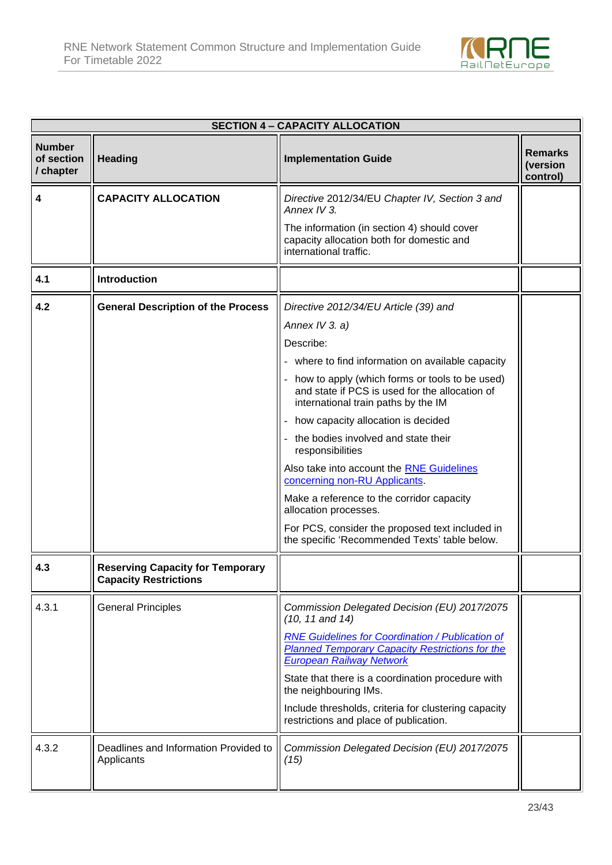

|                                          | <b>SECTION 4 - CAPACITY ALLOCATION</b>                                  |                                                                                                                                                      |                                        |  |
|------------------------------------------|-------------------------------------------------------------------------|------------------------------------------------------------------------------------------------------------------------------------------------------|----------------------------------------|--|
| <b>Number</b><br>of section<br>/ chapter | <b>Heading</b>                                                          | <b>Implementation Guide</b>                                                                                                                          | <b>Remarks</b><br>(version<br>control) |  |
| 4                                        | <b>CAPACITY ALLOCATION</b>                                              | Directive 2012/34/EU Chapter IV, Section 3 and<br>Annex IV 3.                                                                                        |                                        |  |
|                                          |                                                                         | The information (in section 4) should cover<br>capacity allocation both for domestic and<br>international traffic.                                   |                                        |  |
| 4.1                                      | <b>Introduction</b>                                                     |                                                                                                                                                      |                                        |  |
| 4.2                                      | <b>General Description of the Process</b>                               | Directive 2012/34/EU Article (39) and                                                                                                                |                                        |  |
|                                          |                                                                         | Annex IV 3. a)                                                                                                                                       |                                        |  |
|                                          |                                                                         | Describe:                                                                                                                                            |                                        |  |
|                                          |                                                                         | - where to find information on available capacity                                                                                                    |                                        |  |
|                                          |                                                                         | how to apply (which forms or tools to be used)<br>and state if PCS is used for the allocation of<br>international train paths by the IM              |                                        |  |
|                                          |                                                                         | how capacity allocation is decided                                                                                                                   |                                        |  |
|                                          |                                                                         | the bodies involved and state their<br>responsibilities                                                                                              |                                        |  |
|                                          |                                                                         | Also take into account the <b>RNE Guidelines</b><br>concerning non-RU Applicants.                                                                    |                                        |  |
|                                          |                                                                         | Make a reference to the corridor capacity<br>allocation processes.                                                                                   |                                        |  |
|                                          |                                                                         | For PCS, consider the proposed text included in<br>the specific 'Recommended Texts' table below.                                                     |                                        |  |
| 4.3                                      | <b>Reserving Capacity for Temporary</b><br><b>Capacity Restrictions</b> |                                                                                                                                                      |                                        |  |
| 4.3.1                                    | <b>General Principles</b>                                               | Commission Delegated Decision (EU) 2017/2075<br>$(10, 11$ and $14)$                                                                                  |                                        |  |
|                                          |                                                                         | <b>RNE Guidelines for Coordination / Publication of</b><br><b>Planned Temporary Capacity Restrictions for the</b><br><b>European Railway Network</b> |                                        |  |
|                                          |                                                                         | State that there is a coordination procedure with<br>the neighbouring IMs.                                                                           |                                        |  |
|                                          |                                                                         | Include thresholds, criteria for clustering capacity<br>restrictions and place of publication.                                                       |                                        |  |
| 4.3.2                                    | Deadlines and Information Provided to<br>Applicants                     | Commission Delegated Decision (EU) 2017/2075<br>(15)                                                                                                 |                                        |  |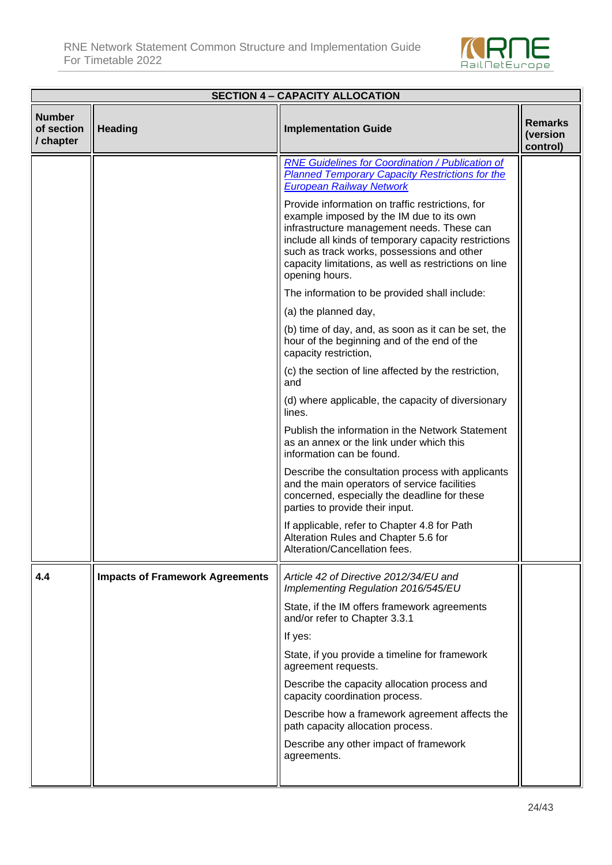

|                                          | <b>SECTION 4 - CAPACITY ALLOCATION</b> |                                                                                                                                                                                                                                                                                                                             |                                        |
|------------------------------------------|----------------------------------------|-----------------------------------------------------------------------------------------------------------------------------------------------------------------------------------------------------------------------------------------------------------------------------------------------------------------------------|----------------------------------------|
| <b>Number</b><br>of section<br>/ chapter | <b>Heading</b>                         | <b>Implementation Guide</b>                                                                                                                                                                                                                                                                                                 | <b>Remarks</b><br>(version<br>control) |
|                                          |                                        | <b>RNE Guidelines for Coordination / Publication of</b><br><b>Planned Temporary Capacity Restrictions for the</b><br><b>European Railway Network</b>                                                                                                                                                                        |                                        |
|                                          |                                        | Provide information on traffic restrictions, for<br>example imposed by the IM due to its own<br>infrastructure management needs. These can<br>include all kinds of temporary capacity restrictions<br>such as track works, possessions and other<br>capacity limitations, as well as restrictions on line<br>opening hours. |                                        |
|                                          |                                        | The information to be provided shall include:                                                                                                                                                                                                                                                                               |                                        |
|                                          |                                        | (a) the planned day,                                                                                                                                                                                                                                                                                                        |                                        |
|                                          |                                        | (b) time of day, and, as soon as it can be set, the<br>hour of the beginning and of the end of the<br>capacity restriction,                                                                                                                                                                                                 |                                        |
|                                          |                                        | (c) the section of line affected by the restriction,<br>and                                                                                                                                                                                                                                                                 |                                        |
|                                          |                                        | (d) where applicable, the capacity of diversionary<br>lines.                                                                                                                                                                                                                                                                |                                        |
|                                          |                                        | Publish the information in the Network Statement<br>as an annex or the link under which this<br>information can be found.                                                                                                                                                                                                   |                                        |
|                                          |                                        | Describe the consultation process with applicants<br>and the main operators of service facilities<br>concerned, especially the deadline for these<br>parties to provide their input.                                                                                                                                        |                                        |
|                                          |                                        | If applicable, refer to Chapter 4.8 for Path<br>Alteration Rules and Chapter 5.6 for<br>Alteration/Cancellation fees.                                                                                                                                                                                                       |                                        |
| 4.4                                      | <b>Impacts of Framework Agreements</b> | Article 42 of Directive 2012/34/EU and<br>Implementing Regulation 2016/545/EU                                                                                                                                                                                                                                               |                                        |
|                                          |                                        | State, if the IM offers framework agreements<br>and/or refer to Chapter 3.3.1                                                                                                                                                                                                                                               |                                        |
|                                          |                                        | If yes:                                                                                                                                                                                                                                                                                                                     |                                        |
|                                          |                                        | State, if you provide a timeline for framework<br>agreement requests.                                                                                                                                                                                                                                                       |                                        |
|                                          |                                        | Describe the capacity allocation process and<br>capacity coordination process.                                                                                                                                                                                                                                              |                                        |
|                                          |                                        | Describe how a framework agreement affects the<br>path capacity allocation process.                                                                                                                                                                                                                                         |                                        |
|                                          |                                        | Describe any other impact of framework<br>agreements.                                                                                                                                                                                                                                                                       |                                        |
|                                          |                                        |                                                                                                                                                                                                                                                                                                                             |                                        |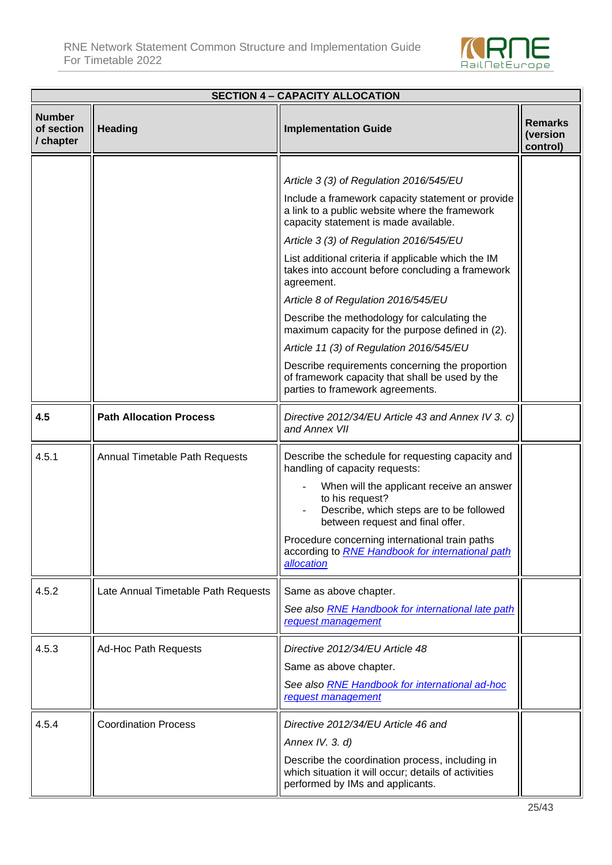

|                                          | <b>SECTION 4 - CAPACITY ALLOCATION</b> |                                                                                                                                              |                                        |  |
|------------------------------------------|----------------------------------------|----------------------------------------------------------------------------------------------------------------------------------------------|----------------------------------------|--|
| <b>Number</b><br>of section<br>/ chapter | <b>Heading</b>                         | <b>Implementation Guide</b>                                                                                                                  | <b>Remarks</b><br>(version<br>control) |  |
|                                          |                                        |                                                                                                                                              |                                        |  |
|                                          |                                        | Article 3 (3) of Regulation 2016/545/EU                                                                                                      |                                        |  |
|                                          |                                        | Include a framework capacity statement or provide<br>a link to a public website where the framework<br>capacity statement is made available. |                                        |  |
|                                          |                                        | Article 3 (3) of Regulation 2016/545/EU                                                                                                      |                                        |  |
|                                          |                                        | List additional criteria if applicable which the IM<br>takes into account before concluding a framework<br>agreement.                        |                                        |  |
|                                          |                                        | Article 8 of Regulation 2016/545/EU                                                                                                          |                                        |  |
|                                          |                                        | Describe the methodology for calculating the<br>maximum capacity for the purpose defined in (2).                                             |                                        |  |
|                                          |                                        | Article 11 (3) of Regulation 2016/545/EU                                                                                                     |                                        |  |
|                                          |                                        | Describe requirements concerning the proportion<br>of framework capacity that shall be used by the<br>parties to framework agreements.       |                                        |  |
| 4.5                                      | <b>Path Allocation Process</b>         | Directive 2012/34/EU Article 43 and Annex IV 3. c)<br>and Annex VII                                                                          |                                        |  |
| 4.5.1                                    | Annual Timetable Path Requests         | Describe the schedule for requesting capacity and<br>handling of capacity requests:                                                          |                                        |  |
|                                          |                                        | When will the applicant receive an answer<br>to his request?<br>Describe, which steps are to be followed<br>between request and final offer. |                                        |  |
|                                          |                                        | Procedure concerning international train paths<br>according to <b>RNE Handbook for international path</b><br>allocation                      |                                        |  |
| 4.5.2                                    | Late Annual Timetable Path Requests    | Same as above chapter.                                                                                                                       |                                        |  |
|                                          |                                        | See also <b>RNE Handbook</b> for international late path<br>request management                                                               |                                        |  |
| 4.5.3                                    | <b>Ad-Hoc Path Requests</b>            | Directive 2012/34/EU Article 48                                                                                                              |                                        |  |
|                                          |                                        | Same as above chapter.<br>See also <b>RNE Handbook for international ad-hoc</b>                                                              |                                        |  |
|                                          |                                        | request management                                                                                                                           |                                        |  |
| 4.5.4                                    | <b>Coordination Process</b>            | Directive 2012/34/EU Article 46 and                                                                                                          |                                        |  |
|                                          |                                        | Annex IV. 3. d)                                                                                                                              |                                        |  |
|                                          |                                        | Describe the coordination process, including in<br>which situation it will occur; details of activities<br>performed by IMs and applicants.  |                                        |  |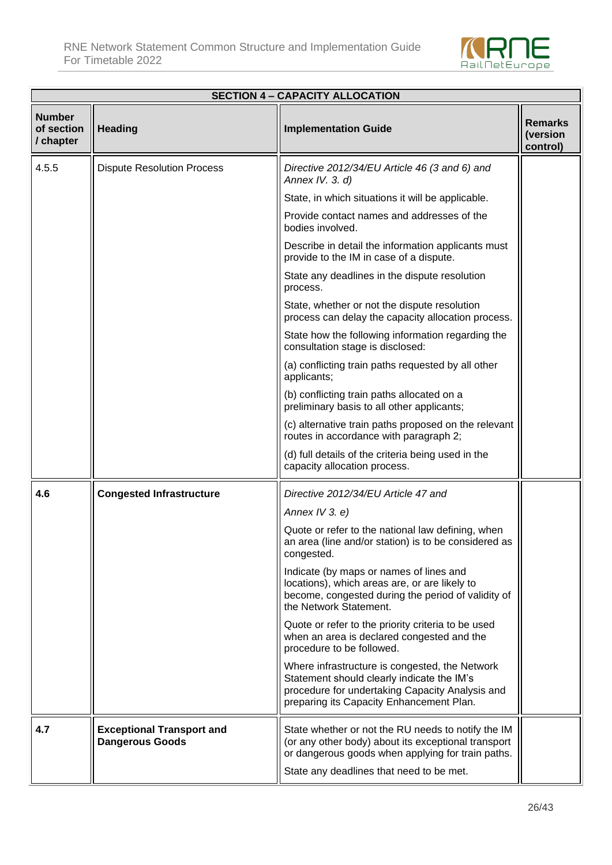

| <b>SECTION 4 - CAPACITY ALLOCATION</b>   |                                                            |                                                                                                                                                                                             |                                        |  |  |
|------------------------------------------|------------------------------------------------------------|---------------------------------------------------------------------------------------------------------------------------------------------------------------------------------------------|----------------------------------------|--|--|
| <b>Number</b><br>of section<br>/ chapter | <b>Heading</b>                                             | <b>Implementation Guide</b>                                                                                                                                                                 | <b>Remarks</b><br>(version<br>control) |  |  |
| 4.5.5                                    | <b>Dispute Resolution Process</b>                          | Directive 2012/34/EU Article 46 (3 and 6) and<br>Annex IV. 3. d)                                                                                                                            |                                        |  |  |
|                                          |                                                            | State, in which situations it will be applicable.                                                                                                                                           |                                        |  |  |
|                                          |                                                            | Provide contact names and addresses of the<br>bodies involved.                                                                                                                              |                                        |  |  |
|                                          |                                                            | Describe in detail the information applicants must<br>provide to the IM in case of a dispute.                                                                                               |                                        |  |  |
|                                          |                                                            | State any deadlines in the dispute resolution<br>process.                                                                                                                                   |                                        |  |  |
|                                          |                                                            | State, whether or not the dispute resolution<br>process can delay the capacity allocation process.                                                                                          |                                        |  |  |
|                                          |                                                            | State how the following information regarding the<br>consultation stage is disclosed:                                                                                                       |                                        |  |  |
|                                          |                                                            | (a) conflicting train paths requested by all other<br>applicants;                                                                                                                           |                                        |  |  |
|                                          |                                                            | (b) conflicting train paths allocated on a<br>preliminary basis to all other applicants;                                                                                                    |                                        |  |  |
|                                          |                                                            | (c) alternative train paths proposed on the relevant<br>routes in accordance with paragraph 2;                                                                                              |                                        |  |  |
|                                          |                                                            | (d) full details of the criteria being used in the<br>capacity allocation process.                                                                                                          |                                        |  |  |
| 4.6                                      | <b>Congested Infrastructure</b>                            | Directive 2012/34/EU Article 47 and                                                                                                                                                         |                                        |  |  |
|                                          |                                                            | Annex IV 3. e)                                                                                                                                                                              |                                        |  |  |
|                                          |                                                            | Quote or refer to the national law defining, when<br>an area (line and/or station) is to be considered as<br>congested.                                                                     |                                        |  |  |
|                                          |                                                            | Indicate (by maps or names of lines and<br>locations), which areas are, or are likely to<br>become, congested during the period of validity of<br>the Network Statement.                    |                                        |  |  |
|                                          |                                                            | Quote or refer to the priority criteria to be used<br>when an area is declared congested and the<br>procedure to be followed.                                                               |                                        |  |  |
|                                          |                                                            | Where infrastructure is congested, the Network<br>Statement should clearly indicate the IM's<br>procedure for undertaking Capacity Analysis and<br>preparing its Capacity Enhancement Plan. |                                        |  |  |
| 4.7                                      | <b>Exceptional Transport and</b><br><b>Dangerous Goods</b> | State whether or not the RU needs to notify the IM<br>(or any other body) about its exceptional transport<br>or dangerous goods when applying for train paths.                              |                                        |  |  |
|                                          |                                                            | State any deadlines that need to be met.                                                                                                                                                    |                                        |  |  |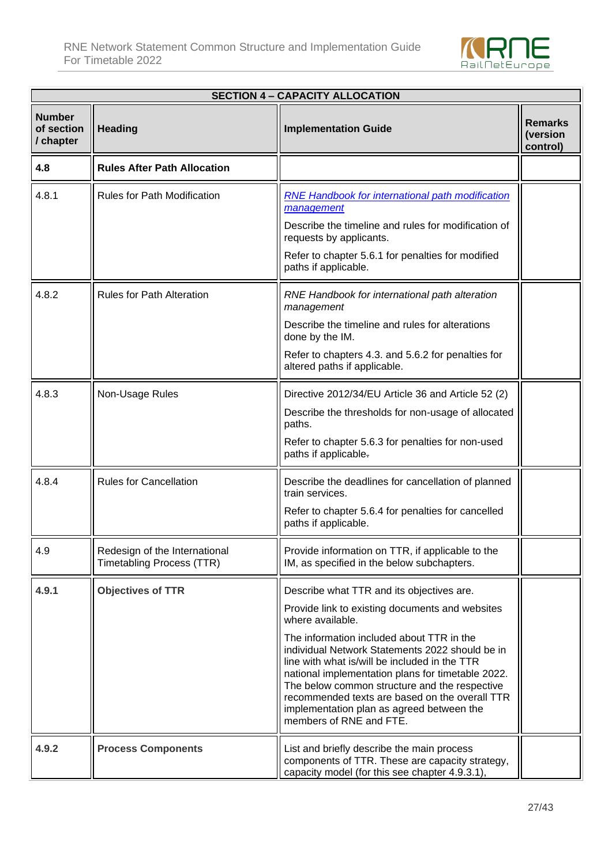

| <b>SECTION 4 - CAPACITY ALLOCATION</b>   |                                                                   |                                                                                                                                                                                                                                                                                                                                                                               |                                 |  |  |
|------------------------------------------|-------------------------------------------------------------------|-------------------------------------------------------------------------------------------------------------------------------------------------------------------------------------------------------------------------------------------------------------------------------------------------------------------------------------------------------------------------------|---------------------------------|--|--|
| <b>Number</b><br>of section<br>/ chapter | <b>Heading</b>                                                    | <b>Implementation Guide</b>                                                                                                                                                                                                                                                                                                                                                   | Remarks<br>(version<br>control) |  |  |
| 4.8                                      | <b>Rules After Path Allocation</b>                                |                                                                                                                                                                                                                                                                                                                                                                               |                                 |  |  |
| 4.8.1                                    | <b>Rules for Path Modification</b>                                | <b>RNE Handbook for international path modification</b><br>management                                                                                                                                                                                                                                                                                                         |                                 |  |  |
|                                          |                                                                   | Describe the timeline and rules for modification of<br>requests by applicants.                                                                                                                                                                                                                                                                                                |                                 |  |  |
|                                          |                                                                   | Refer to chapter 5.6.1 for penalties for modified<br>paths if applicable.                                                                                                                                                                                                                                                                                                     |                                 |  |  |
| 4.8.2                                    | <b>Rules for Path Alteration</b>                                  | RNE Handbook for international path alteration<br>management                                                                                                                                                                                                                                                                                                                  |                                 |  |  |
|                                          |                                                                   | Describe the timeline and rules for alterations<br>done by the IM.                                                                                                                                                                                                                                                                                                            |                                 |  |  |
|                                          |                                                                   | Refer to chapters 4.3. and 5.6.2 for penalties for<br>altered paths if applicable.                                                                                                                                                                                                                                                                                            |                                 |  |  |
| 4.8.3                                    | Non-Usage Rules                                                   | Directive 2012/34/EU Article 36 and Article 52 (2)                                                                                                                                                                                                                                                                                                                            |                                 |  |  |
|                                          |                                                                   | Describe the thresholds for non-usage of allocated<br>paths.                                                                                                                                                                                                                                                                                                                  |                                 |  |  |
|                                          |                                                                   | Refer to chapter 5.6.3 for penalties for non-used<br>paths if applicable.                                                                                                                                                                                                                                                                                                     |                                 |  |  |
| 4.8.4                                    | <b>Rules for Cancellation</b>                                     | Describe the deadlines for cancellation of planned<br>train services.                                                                                                                                                                                                                                                                                                         |                                 |  |  |
|                                          |                                                                   | Refer to chapter 5.6.4 for penalties for cancelled<br>paths if applicable.                                                                                                                                                                                                                                                                                                    |                                 |  |  |
| 4.9                                      | Redesign of the International<br><b>Timetabling Process (TTR)</b> | Provide information on TTR, if applicable to the<br>IM, as specified in the below subchapters.                                                                                                                                                                                                                                                                                |                                 |  |  |
| 4.9.1                                    | <b>Objectives of TTR</b>                                          | Describe what TTR and its objectives are.                                                                                                                                                                                                                                                                                                                                     |                                 |  |  |
|                                          |                                                                   | Provide link to existing documents and websites<br>where available.                                                                                                                                                                                                                                                                                                           |                                 |  |  |
|                                          |                                                                   | The information included about TTR in the<br>individual Network Statements 2022 should be in<br>line with what is/will be included in the TTR<br>national implementation plans for timetable 2022.<br>The below common structure and the respective<br>recommended texts are based on the overall TTR<br>implementation plan as agreed between the<br>members of RNE and FTE. |                                 |  |  |
| 4.9.2                                    | <b>Process Components</b>                                         | List and briefly describe the main process<br>components of TTR. These are capacity strategy,<br>capacity model (for this see chapter 4.9.3.1),                                                                                                                                                                                                                               |                                 |  |  |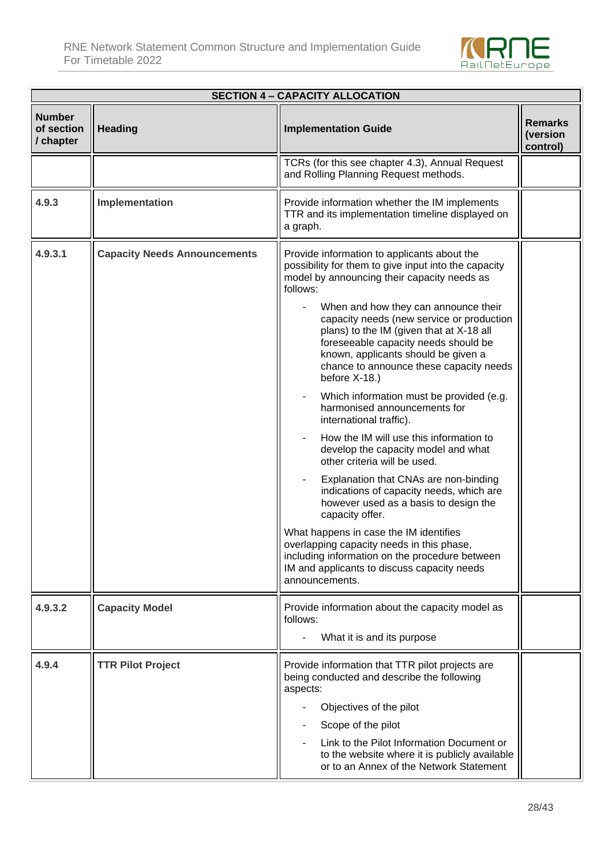

| <b>SECTION 4 - CAPACITY ALLOCATION</b>   |                                     |                                                                                                                                                                                                                                                                                                                                                                                                                                                                                                                                                                                                                                                                                                                                                                                                                                                                                                                                                                                                                                |                                        |  |
|------------------------------------------|-------------------------------------|--------------------------------------------------------------------------------------------------------------------------------------------------------------------------------------------------------------------------------------------------------------------------------------------------------------------------------------------------------------------------------------------------------------------------------------------------------------------------------------------------------------------------------------------------------------------------------------------------------------------------------------------------------------------------------------------------------------------------------------------------------------------------------------------------------------------------------------------------------------------------------------------------------------------------------------------------------------------------------------------------------------------------------|----------------------------------------|--|
| <b>Number</b><br>of section<br>/ chapter | <b>Heading</b>                      | <b>Implementation Guide</b>                                                                                                                                                                                                                                                                                                                                                                                                                                                                                                                                                                                                                                                                                                                                                                                                                                                                                                                                                                                                    | <b>Remarks</b><br>(version<br>control) |  |
|                                          |                                     | TCRs (for this see chapter 4.3), Annual Request<br>and Rolling Planning Request methods.                                                                                                                                                                                                                                                                                                                                                                                                                                                                                                                                                                                                                                                                                                                                                                                                                                                                                                                                       |                                        |  |
| 4.9.3                                    | Implementation                      | Provide information whether the IM implements<br>TTR and its implementation timeline displayed on<br>a graph.                                                                                                                                                                                                                                                                                                                                                                                                                                                                                                                                                                                                                                                                                                                                                                                                                                                                                                                  |                                        |  |
| 4.9.3.1                                  | <b>Capacity Needs Announcements</b> | Provide information to applicants about the<br>possibility for them to give input into the capacity<br>model by announcing their capacity needs as<br>follows:<br>When and how they can announce their<br>capacity needs (new service or production<br>plans) to the IM (given that at X-18 all<br>foreseeable capacity needs should be<br>known, applicants should be given a<br>chance to announce these capacity needs<br>before X-18.)<br>Which information must be provided (e.g.<br>harmonised announcements for<br>international traffic).<br>How the IM will use this information to<br>develop the capacity model and what<br>other criteria will be used.<br>Explanation that CNAs are non-binding<br>indications of capacity needs, which are<br>however used as a basis to design the<br>capacity offer.<br>What happens in case the IM identifies<br>overlapping capacity needs in this phase,<br>including information on the procedure between<br>IM and applicants to discuss capacity needs<br>announcements. |                                        |  |
| 4.9.3.2                                  | <b>Capacity Model</b>               | Provide information about the capacity model as<br>follows:<br>What it is and its purpose                                                                                                                                                                                                                                                                                                                                                                                                                                                                                                                                                                                                                                                                                                                                                                                                                                                                                                                                      |                                        |  |
| 4.9.4                                    | <b>TTR Pilot Project</b>            | Provide information that TTR pilot projects are<br>being conducted and describe the following<br>aspects:<br>Objectives of the pilot<br>Scope of the pilot<br>Link to the Pilot Information Document or<br>to the website where it is publicly available<br>or to an Annex of the Network Statement                                                                                                                                                                                                                                                                                                                                                                                                                                                                                                                                                                                                                                                                                                                            |                                        |  |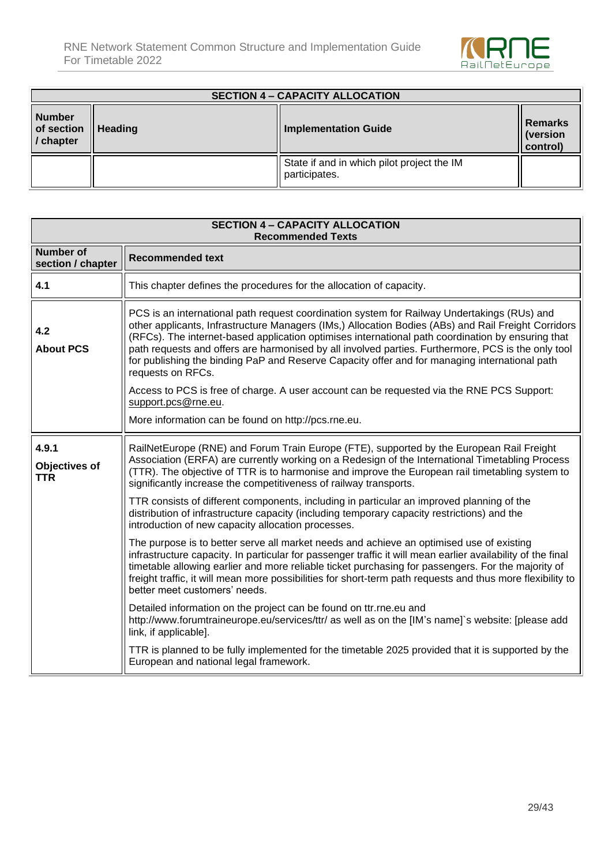

| <b>SECTION 4 - CAPACITY ALLOCATION</b>   |                |                                                             |                                 |  |
|------------------------------------------|----------------|-------------------------------------------------------------|---------------------------------|--|
| <b>Number</b><br>of section<br>/ chapter | <b>Heading</b> | <b>Implementation Guide</b>                                 | Remarks<br>(version<br>control) |  |
|                                          |                | State if and in which pilot project the IM<br>participates. |                                 |  |

| <b>SECTION 4 - CAPACITY ALLOCATION</b><br><b>Recommended Texts</b> |                                                                                                                                                                                                                                                                                                                                                                                                                                                                                                                                     |  |  |
|--------------------------------------------------------------------|-------------------------------------------------------------------------------------------------------------------------------------------------------------------------------------------------------------------------------------------------------------------------------------------------------------------------------------------------------------------------------------------------------------------------------------------------------------------------------------------------------------------------------------|--|--|
| <b>Number of</b><br>section / chapter                              | <b>Recommended text</b>                                                                                                                                                                                                                                                                                                                                                                                                                                                                                                             |  |  |
| 4.1                                                                | This chapter defines the procedures for the allocation of capacity.                                                                                                                                                                                                                                                                                                                                                                                                                                                                 |  |  |
| 4.2<br><b>About PCS</b>                                            | PCS is an international path request coordination system for Railway Undertakings (RUs) and<br>other applicants, Infrastructure Managers (IMs,) Allocation Bodies (ABs) and Rail Freight Corridors<br>(RFCs). The internet-based application optimises international path coordination by ensuring that<br>path requests and offers are harmonised by all involved parties. Furthermore, PCS is the only tool<br>for publishing the binding PaP and Reserve Capacity offer and for managing international path<br>requests on RFCs. |  |  |
|                                                                    | Access to PCS is free of charge. A user account can be requested via the RNE PCS Support:<br>support.pcs@rne.eu.                                                                                                                                                                                                                                                                                                                                                                                                                    |  |  |
|                                                                    | More information can be found on http://pcs.rne.eu.                                                                                                                                                                                                                                                                                                                                                                                                                                                                                 |  |  |
| 4.9.1<br>Objectives of<br><b>TTR</b>                               | RailNetEurope (RNE) and Forum Train Europe (FTE), supported by the European Rail Freight<br>Association (ERFA) are currently working on a Redesign of the International Timetabling Process<br>(TTR). The objective of TTR is to harmonise and improve the European rail timetabling system to<br>significantly increase the competitiveness of railway transports.                                                                                                                                                                 |  |  |
|                                                                    | TTR consists of different components, including in particular an improved planning of the<br>distribution of infrastructure capacity (including temporary capacity restrictions) and the<br>introduction of new capacity allocation processes.                                                                                                                                                                                                                                                                                      |  |  |
|                                                                    | The purpose is to better serve all market needs and achieve an optimised use of existing<br>infrastructure capacity. In particular for passenger traffic it will mean earlier availability of the final<br>timetable allowing earlier and more reliable ticket purchasing for passengers. For the majority of<br>freight traffic, it will mean more possibilities for short-term path requests and thus more flexibility to<br>better meet customers' needs.                                                                        |  |  |
|                                                                    | Detailed information on the project can be found on ttr.rne.eu and<br>http://www.forumtraineurope.eu/services/ttr/ as well as on the [IM's name]`s website: [please add<br>link, if applicable].                                                                                                                                                                                                                                                                                                                                    |  |  |
|                                                                    | TTR is planned to be fully implemented for the timetable 2025 provided that it is supported by the<br>European and national legal framework.                                                                                                                                                                                                                                                                                                                                                                                        |  |  |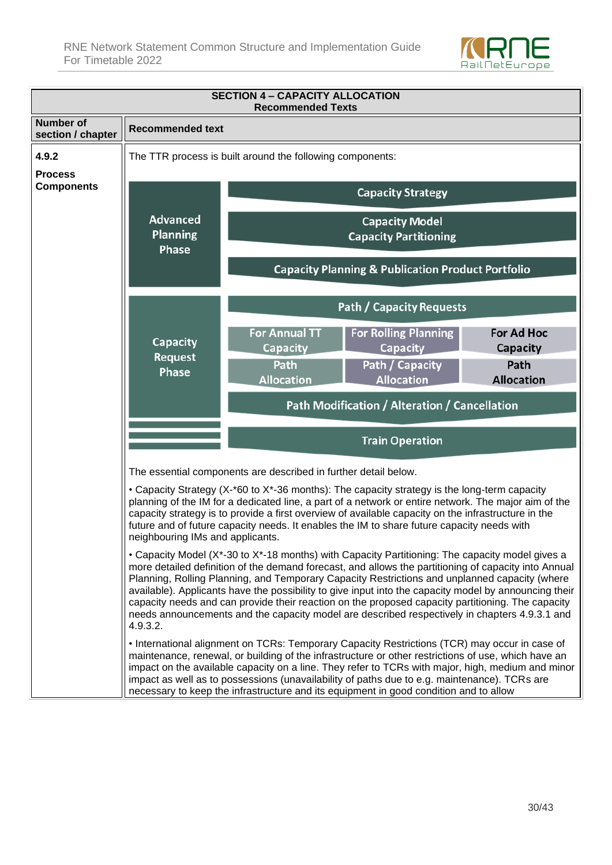

| <b>SECTION 4 - CAPACITY ALLOCATION</b><br><b>Recommended Texts</b>                                                                                                                                                                                                                                                                                                                                                                                                                                                                                                                                                                  |                                                                                                                                                                                                                                                                                                                                                                                                                                                                                                    |                                                                 |                                                              |                                      |
|-------------------------------------------------------------------------------------------------------------------------------------------------------------------------------------------------------------------------------------------------------------------------------------------------------------------------------------------------------------------------------------------------------------------------------------------------------------------------------------------------------------------------------------------------------------------------------------------------------------------------------------|----------------------------------------------------------------------------------------------------------------------------------------------------------------------------------------------------------------------------------------------------------------------------------------------------------------------------------------------------------------------------------------------------------------------------------------------------------------------------------------------------|-----------------------------------------------------------------|--------------------------------------------------------------|--------------------------------------|
| <b>Number of</b><br>section / chapter                                                                                                                                                                                                                                                                                                                                                                                                                                                                                                                                                                                               | <b>Recommended text</b>                                                                                                                                                                                                                                                                                                                                                                                                                                                                            |                                                                 |                                                              |                                      |
| 4.9.2                                                                                                                                                                                                                                                                                                                                                                                                                                                                                                                                                                                                                               | The TTR process is built around the following components:<br><b>Capacity Strategy</b>                                                                                                                                                                                                                                                                                                                                                                                                              |                                                                 |                                                              |                                      |
| <b>Process</b><br><b>Components</b>                                                                                                                                                                                                                                                                                                                                                                                                                                                                                                                                                                                                 |                                                                                                                                                                                                                                                                                                                                                                                                                                                                                                    |                                                                 |                                                              |                                      |
|                                                                                                                                                                                                                                                                                                                                                                                                                                                                                                                                                                                                                                     | <b>Advanced</b><br><b>Planning</b><br>Phase                                                                                                                                                                                                                                                                                                                                                                                                                                                        |                                                                 | <b>Capacity Model</b><br><b>Capacity Partitioning</b>        |                                      |
|                                                                                                                                                                                                                                                                                                                                                                                                                                                                                                                                                                                                                                     |                                                                                                                                                                                                                                                                                                                                                                                                                                                                                                    |                                                                 | <b>Capacity Planning &amp; Publication Product Portfolio</b> |                                      |
|                                                                                                                                                                                                                                                                                                                                                                                                                                                                                                                                                                                                                                     |                                                                                                                                                                                                                                                                                                                                                                                                                                                                                                    |                                                                 | <b>Path / Capacity Requests</b>                              |                                      |
|                                                                                                                                                                                                                                                                                                                                                                                                                                                                                                                                                                                                                                     | <b>Capacity</b>                                                                                                                                                                                                                                                                                                                                                                                                                                                                                    | <b>For Annual TT</b><br><b>Capacity</b>                         | <b>For Rolling Planning</b><br><b>Capacity</b>               | <b>For Ad Hoc</b><br><b>Capacity</b> |
|                                                                                                                                                                                                                                                                                                                                                                                                                                                                                                                                                                                                                                     | <b>Request</b><br>Phase                                                                                                                                                                                                                                                                                                                                                                                                                                                                            | Path<br><b>Allocation</b>                                       | Path / Capacity<br><b>Allocation</b>                         | Path<br><b>Allocation</b>            |
|                                                                                                                                                                                                                                                                                                                                                                                                                                                                                                                                                                                                                                     |                                                                                                                                                                                                                                                                                                                                                                                                                                                                                                    |                                                                 | Path Modification / Alteration / Cancellation                |                                      |
|                                                                                                                                                                                                                                                                                                                                                                                                                                                                                                                                                                                                                                     |                                                                                                                                                                                                                                                                                                                                                                                                                                                                                                    |                                                                 | <b>Train Operation</b>                                       |                                      |
|                                                                                                                                                                                                                                                                                                                                                                                                                                                                                                                                                                                                                                     |                                                                                                                                                                                                                                                                                                                                                                                                                                                                                                    | The essential components are described in further detail below. |                                                              |                                      |
|                                                                                                                                                                                                                                                                                                                                                                                                                                                                                                                                                                                                                                     | • Capacity Strategy (X-*60 to X*-36 months): The capacity strategy is the long-term capacity<br>planning of the IM for a dedicated line, a part of a network or entire network. The major aim of the<br>capacity strategy is to provide a first overview of available capacity on the infrastructure in the<br>future and of future capacity needs. It enables the IM to share future capacity needs with<br>neighbouring IMs and applicants.                                                      |                                                                 |                                                              |                                      |
| • Capacity Model (X*-30 to X*-18 months) with Capacity Partitioning: The capacity model gives a<br>more detailed definition of the demand forecast, and allows the partitioning of capacity into Annual<br>Planning, Rolling Planning, and Temporary Capacity Restrictions and unplanned capacity (where<br>available). Applicants have the possibility to give input into the capacity model by announcing their<br>capacity needs and can provide their reaction on the proposed capacity partitioning. The capacity<br>needs announcements and the capacity model are described respectively in chapters 4.9.3.1 and<br>4.9.3.2. |                                                                                                                                                                                                                                                                                                                                                                                                                                                                                                    |                                                                 |                                                              |                                      |
|                                                                                                                                                                                                                                                                                                                                                                                                                                                                                                                                                                                                                                     | • International alignment on TCRs: Temporary Capacity Restrictions (TCR) may occur in case of<br>maintenance, renewal, or building of the infrastructure or other restrictions of use, which have an<br>impact on the available capacity on a line. They refer to TCRs with major, high, medium and minor<br>impact as well as to possessions (unavailability of paths due to e.g. maintenance). TCRs are<br>necessary to keep the infrastructure and its equipment in good condition and to allow |                                                                 |                                                              |                                      |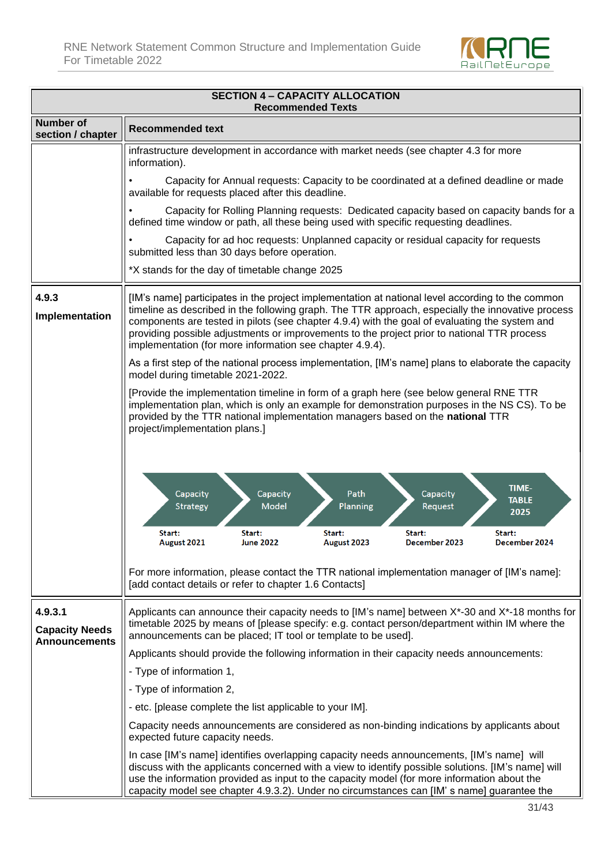

| <b>SECTION 4 - CAPACITY ALLOCATION</b><br><b>Recommended Texts</b> |                                                                                                                                                                                                                                                                                                                                                                                                                                                                    |  |  |  |
|--------------------------------------------------------------------|--------------------------------------------------------------------------------------------------------------------------------------------------------------------------------------------------------------------------------------------------------------------------------------------------------------------------------------------------------------------------------------------------------------------------------------------------------------------|--|--|--|
| <b>Number of</b><br>section / chapter                              | <b>Recommended text</b>                                                                                                                                                                                                                                                                                                                                                                                                                                            |  |  |  |
|                                                                    | infrastructure development in accordance with market needs (see chapter 4.3 for more<br>information).                                                                                                                                                                                                                                                                                                                                                              |  |  |  |
|                                                                    | Capacity for Annual requests: Capacity to be coordinated at a defined deadline or made<br>available for requests placed after this deadline.                                                                                                                                                                                                                                                                                                                       |  |  |  |
|                                                                    | Capacity for Rolling Planning requests: Dedicated capacity based on capacity bands for a<br>defined time window or path, all these being used with specific requesting deadlines.                                                                                                                                                                                                                                                                                  |  |  |  |
|                                                                    | Capacity for ad hoc requests: Unplanned capacity or residual capacity for requests<br>submitted less than 30 days before operation.                                                                                                                                                                                                                                                                                                                                |  |  |  |
|                                                                    | *X stands for the day of timetable change 2025                                                                                                                                                                                                                                                                                                                                                                                                                     |  |  |  |
| 4.9.3<br>Implementation                                            | [IM's name] participates in the project implementation at national level according to the common<br>timeline as described in the following graph. The TTR approach, especially the innovative process<br>components are tested in pilots (see chapter 4.9.4) with the goal of evaluating the system and<br>providing possible adjustments or improvements to the project prior to national TTR process<br>implementation (for more information see chapter 4.9.4). |  |  |  |
|                                                                    | As a first step of the national process implementation, [IM's name] plans to elaborate the capacity<br>model during timetable 2021-2022.                                                                                                                                                                                                                                                                                                                           |  |  |  |
|                                                                    | [Provide the implementation timeline in form of a graph here (see below general RNE TTR<br>implementation plan, which is only an example for demonstration purposes in the NS CS). To be<br>provided by the TTR national implementation managers based on the national TTR<br>project/implementation plans.]                                                                                                                                                       |  |  |  |
|                                                                    | TIME-<br>Capacity<br>Capacity<br>Capacity<br>Path<br><b>TABLE</b><br><b>Model</b><br>Strategy<br>Planning<br>Request<br>2025<br>Start:<br>Start:<br>Start:<br>Start:<br>Start:<br><b>June 2022</b><br>August 2021<br>August 2023<br>December 2023<br>December 2024                                                                                                                                                                                                 |  |  |  |
|                                                                    | For more information, please contact the TTR national implementation manager of [IM's name]:<br>[add contact details or refer to chapter 1.6 Contacts]                                                                                                                                                                                                                                                                                                             |  |  |  |
| 4.9.3.1<br><b>Capacity Needs</b><br><b>Announcements</b>           | Applicants can announce their capacity needs to [IM's name] between X*-30 and X*-18 months for<br>timetable 2025 by means of [please specify: e.g. contact person/department within IM where the<br>announcements can be placed; IT tool or template to be used].                                                                                                                                                                                                  |  |  |  |
|                                                                    | Applicants should provide the following information in their capacity needs announcements:                                                                                                                                                                                                                                                                                                                                                                         |  |  |  |
|                                                                    | - Type of information 1,                                                                                                                                                                                                                                                                                                                                                                                                                                           |  |  |  |
|                                                                    | - Type of information 2,                                                                                                                                                                                                                                                                                                                                                                                                                                           |  |  |  |
|                                                                    | - etc. [please complete the list applicable to your IM].<br>Capacity needs announcements are considered as non-binding indications by applicants about                                                                                                                                                                                                                                                                                                             |  |  |  |
|                                                                    | expected future capacity needs.                                                                                                                                                                                                                                                                                                                                                                                                                                    |  |  |  |
|                                                                    | In case [IM's name] identifies overlapping capacity needs announcements, [IM's name] will<br>discuss with the applicants concerned with a view to identify possible solutions. [IM's name] will<br>use the information provided as input to the capacity model (for more information about the<br>capacity model see chapter 4.9.3.2). Under no circumstances can [IM' s name] guarantee the                                                                       |  |  |  |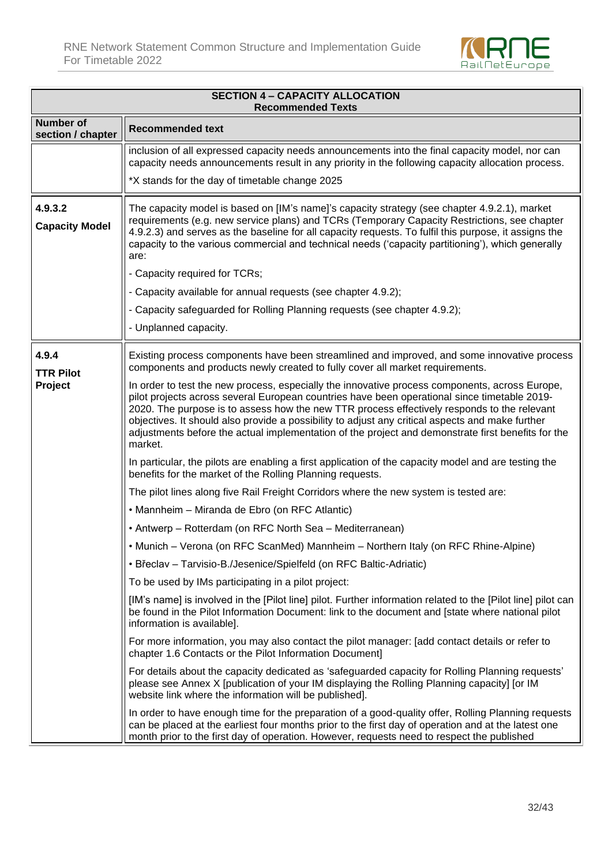

| <b>SECTION 4 - CAPACITY ALLOCATION</b><br><b>Recommended Texts</b> |                                                                                                                                                                                                                                                                                                                                                                                                                                                                                                                    |  |  |
|--------------------------------------------------------------------|--------------------------------------------------------------------------------------------------------------------------------------------------------------------------------------------------------------------------------------------------------------------------------------------------------------------------------------------------------------------------------------------------------------------------------------------------------------------------------------------------------------------|--|--|
| <b>Number of</b><br>section / chapter                              | <b>Recommended text</b>                                                                                                                                                                                                                                                                                                                                                                                                                                                                                            |  |  |
|                                                                    | inclusion of all expressed capacity needs announcements into the final capacity model, nor can<br>capacity needs announcements result in any priority in the following capacity allocation process.                                                                                                                                                                                                                                                                                                                |  |  |
|                                                                    | *X stands for the day of timetable change 2025                                                                                                                                                                                                                                                                                                                                                                                                                                                                     |  |  |
| 4.9.3.2<br><b>Capacity Model</b>                                   | The capacity model is based on [IM's name]'s capacity strategy (see chapter 4.9.2.1), market<br>requirements (e.g. new service plans) and TCRs (Temporary Capacity Restrictions, see chapter<br>4.9.2.3) and serves as the baseline for all capacity requests. To fulfil this purpose, it assigns the<br>capacity to the various commercial and technical needs ('capacity partitioning'), which generally<br>are:                                                                                                 |  |  |
|                                                                    | - Capacity required for TCRs;                                                                                                                                                                                                                                                                                                                                                                                                                                                                                      |  |  |
|                                                                    | - Capacity available for annual requests (see chapter 4.9.2);                                                                                                                                                                                                                                                                                                                                                                                                                                                      |  |  |
|                                                                    | - Capacity safeguarded for Rolling Planning requests (see chapter 4.9.2);                                                                                                                                                                                                                                                                                                                                                                                                                                          |  |  |
|                                                                    | - Unplanned capacity.                                                                                                                                                                                                                                                                                                                                                                                                                                                                                              |  |  |
| 4.9.4<br><b>TTR Pilot</b>                                          | Existing process components have been streamlined and improved, and some innovative process<br>components and products newly created to fully cover all market requirements.                                                                                                                                                                                                                                                                                                                                       |  |  |
| Project                                                            | In order to test the new process, especially the innovative process components, across Europe,<br>pilot projects across several European countries have been operational since timetable 2019-<br>2020. The purpose is to assess how the new TTR process effectively responds to the relevant<br>objectives. It should also provide a possibility to adjust any critical aspects and make further<br>adjustments before the actual implementation of the project and demonstrate first benefits for the<br>market. |  |  |
|                                                                    | In particular, the pilots are enabling a first application of the capacity model and are testing the<br>benefits for the market of the Rolling Planning requests.                                                                                                                                                                                                                                                                                                                                                  |  |  |
|                                                                    | The pilot lines along five Rail Freight Corridors where the new system is tested are:                                                                                                                                                                                                                                                                                                                                                                                                                              |  |  |
|                                                                    | • Mannheim – Miranda de Ebro (on RFC Atlantic)                                                                                                                                                                                                                                                                                                                                                                                                                                                                     |  |  |
|                                                                    | • Antwerp - Rotterdam (on RFC North Sea - Mediterranean)                                                                                                                                                                                                                                                                                                                                                                                                                                                           |  |  |
|                                                                    | • Munich - Verona (on RFC ScanMed) Mannheim - Northern Italy (on RFC Rhine-Alpine)                                                                                                                                                                                                                                                                                                                                                                                                                                 |  |  |
|                                                                    | · Břeclav - Tarvisio-B./Jesenice/Spielfeld (on RFC Baltic-Adriatic)                                                                                                                                                                                                                                                                                                                                                                                                                                                |  |  |
|                                                                    | To be used by IMs participating in a pilot project:                                                                                                                                                                                                                                                                                                                                                                                                                                                                |  |  |
|                                                                    | [IM's name] is involved in the [Pilot line] pilot. Further information related to the [Pilot line] pilot can<br>be found in the Pilot Information Document: link to the document and [state where national pilot<br>information is available].                                                                                                                                                                                                                                                                     |  |  |
|                                                                    | For more information, you may also contact the pilot manager: [add contact details or refer to<br>chapter 1.6 Contacts or the Pilot Information Document]                                                                                                                                                                                                                                                                                                                                                          |  |  |
|                                                                    | For details about the capacity dedicated as 'safeguarded capacity for Rolling Planning requests'<br>please see Annex X [publication of your IM displaying the Rolling Planning capacity] [or IM<br>website link where the information will be published].                                                                                                                                                                                                                                                          |  |  |
|                                                                    | In order to have enough time for the preparation of a good-quality offer, Rolling Planning requests<br>can be placed at the earliest four months prior to the first day of operation and at the latest one<br>month prior to the first day of operation. However, requests need to respect the published                                                                                                                                                                                                           |  |  |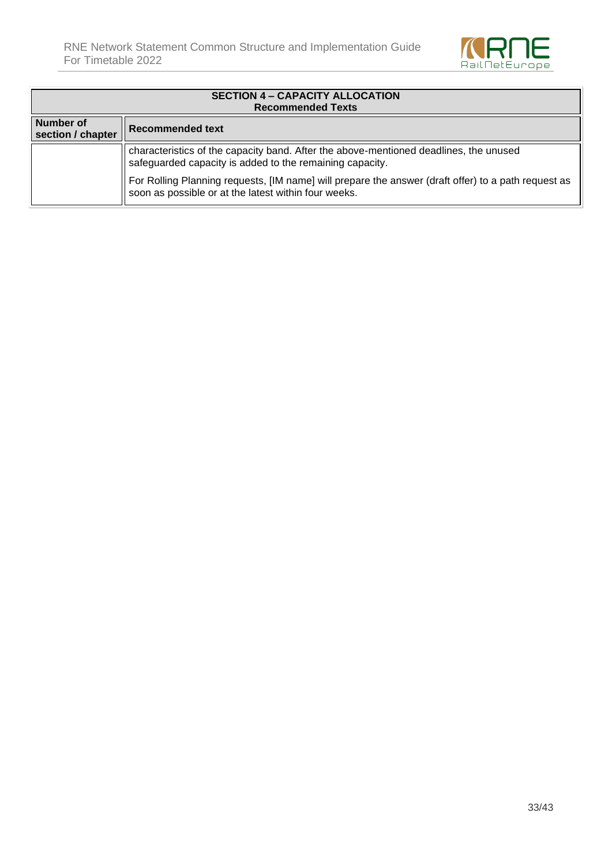

| <b>SECTION 4 - CAPACITY ALLOCATION</b><br><b>Recommended Texts</b>                                                                                |                                                                                                                                                          |  |  |
|---------------------------------------------------------------------------------------------------------------------------------------------------|----------------------------------------------------------------------------------------------------------------------------------------------------------|--|--|
| <b>Number of</b><br>section / chapter                                                                                                             | <b>Recommended text</b>                                                                                                                                  |  |  |
| characteristics of the capacity band. After the above-mentioned deadlines, the unused<br>safeguarded capacity is added to the remaining capacity. |                                                                                                                                                          |  |  |
|                                                                                                                                                   | For Rolling Planning requests, [IM name] will prepare the answer (draft offer) to a path request as soon as possible or at the latest within four weeks. |  |  |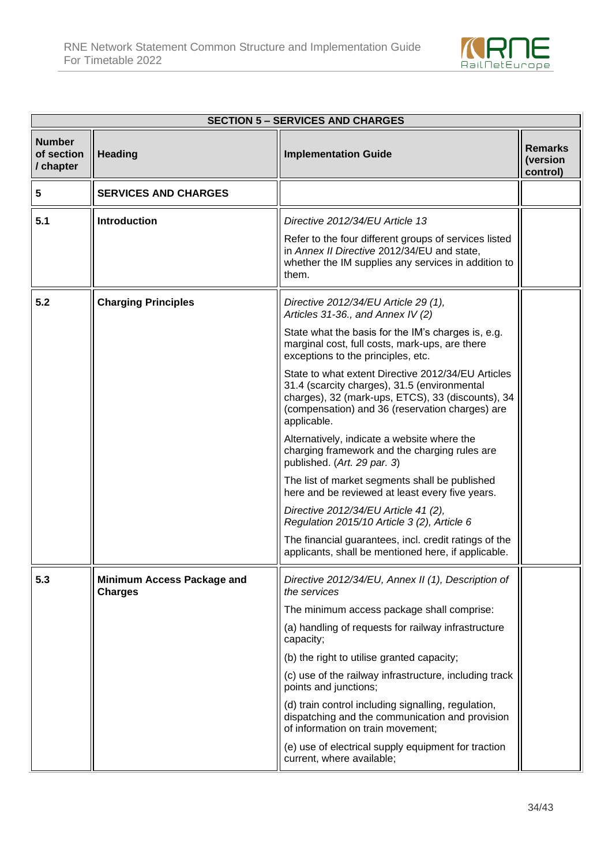

| <b>SECTION 5 – SERVICES AND CHARGES</b>  |                                              |                                                                                                                                                                                                                           |                                        |  |
|------------------------------------------|----------------------------------------------|---------------------------------------------------------------------------------------------------------------------------------------------------------------------------------------------------------------------------|----------------------------------------|--|
| <b>Number</b><br>of section<br>/ chapter | <b>Heading</b>                               | <b>Implementation Guide</b>                                                                                                                                                                                               | <b>Remarks</b><br>(version<br>control) |  |
| 5                                        | <b>SERVICES AND CHARGES</b>                  |                                                                                                                                                                                                                           |                                        |  |
| 5.1                                      | <b>Introduction</b>                          | Directive 2012/34/EU Article 13                                                                                                                                                                                           |                                        |  |
|                                          |                                              | Refer to the four different groups of services listed<br>in Annex II Directive 2012/34/EU and state,<br>whether the IM supplies any services in addition to<br>them.                                                      |                                        |  |
| 5.2                                      | <b>Charging Principles</b>                   | Directive 2012/34/EU Article 29 (1),<br>Articles 31-36., and Annex IV (2)                                                                                                                                                 |                                        |  |
|                                          |                                              | State what the basis for the IM's charges is, e.g.<br>marginal cost, full costs, mark-ups, are there<br>exceptions to the principles, etc.                                                                                |                                        |  |
|                                          |                                              | State to what extent Directive 2012/34/EU Articles<br>31.4 (scarcity charges), 31.5 (environmental<br>charges), 32 (mark-ups, ETCS), 33 (discounts), 34<br>(compensation) and 36 (reservation charges) are<br>applicable. |                                        |  |
|                                          |                                              | Alternatively, indicate a website where the<br>charging framework and the charging rules are<br>published. (Art. 29 par. 3)                                                                                               |                                        |  |
|                                          |                                              | The list of market segments shall be published<br>here and be reviewed at least every five years.                                                                                                                         |                                        |  |
|                                          |                                              | Directive 2012/34/EU Article 41 (2),<br>Regulation 2015/10 Article 3 (2), Article 6                                                                                                                                       |                                        |  |
|                                          |                                              | The financial guarantees, incl. credit ratings of the<br>applicants, shall be mentioned here, if applicable.                                                                                                              |                                        |  |
| 5.3                                      | Minimum Access Package and<br><b>Charges</b> | Directive 2012/34/EU, Annex II (1), Description of<br>the services                                                                                                                                                        |                                        |  |
|                                          |                                              | The minimum access package shall comprise:                                                                                                                                                                                |                                        |  |
|                                          |                                              | (a) handling of requests for railway infrastructure<br>capacity;                                                                                                                                                          |                                        |  |
|                                          |                                              | (b) the right to utilise granted capacity;                                                                                                                                                                                |                                        |  |
|                                          |                                              | (c) use of the railway infrastructure, including track<br>points and junctions;                                                                                                                                           |                                        |  |
|                                          |                                              | (d) train control including signalling, regulation,<br>dispatching and the communication and provision<br>of information on train movement;                                                                               |                                        |  |
|                                          |                                              | (e) use of electrical supply equipment for traction<br>current, where available;                                                                                                                                          |                                        |  |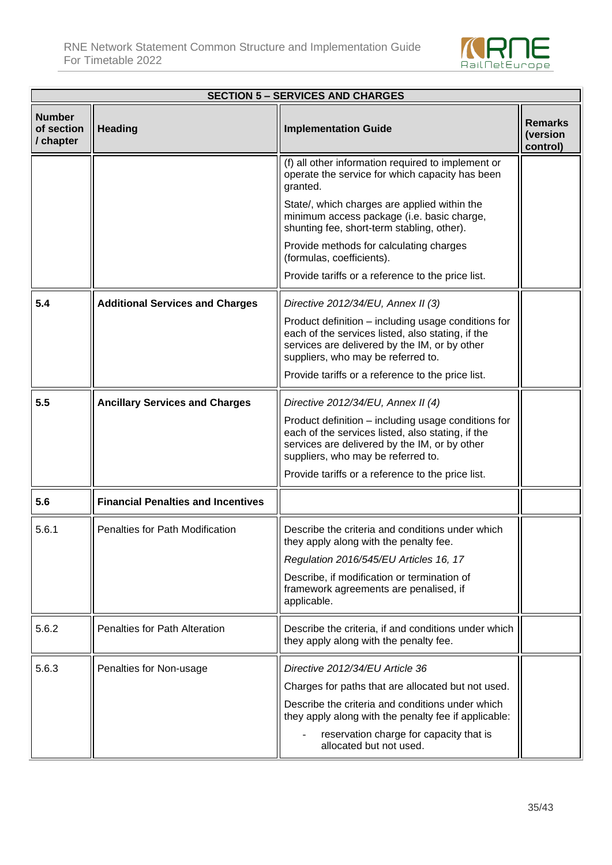

| <b>SECTION 5 – SERVICES AND CHARGES</b>  |                                           |                                                                                                                                                                                                 |                                 |  |  |
|------------------------------------------|-------------------------------------------|-------------------------------------------------------------------------------------------------------------------------------------------------------------------------------------------------|---------------------------------|--|--|
| <b>Number</b><br>of section<br>/ chapter | <b>Heading</b>                            | <b>Implementation Guide</b>                                                                                                                                                                     | Remarks<br>(version<br>control) |  |  |
|                                          |                                           | (f) all other information required to implement or<br>operate the service for which capacity has been<br>granted.                                                                               |                                 |  |  |
|                                          |                                           | State/, which charges are applied within the<br>minimum access package (i.e. basic charge,<br>shunting fee, short-term stabling, other).                                                        |                                 |  |  |
|                                          |                                           | Provide methods for calculating charges<br>(formulas, coefficients).                                                                                                                            |                                 |  |  |
|                                          |                                           | Provide tariffs or a reference to the price list.                                                                                                                                               |                                 |  |  |
| 5.4                                      | <b>Additional Services and Charges</b>    | Directive 2012/34/EU, Annex II (3)                                                                                                                                                              |                                 |  |  |
|                                          |                                           | Product definition – including usage conditions for<br>each of the services listed, also stating, if the<br>services are delivered by the IM, or by other<br>suppliers, who may be referred to. |                                 |  |  |
|                                          |                                           | Provide tariffs or a reference to the price list.                                                                                                                                               |                                 |  |  |
| 5.5                                      | <b>Ancillary Services and Charges</b>     | Directive 2012/34/EU, Annex II (4)                                                                                                                                                              |                                 |  |  |
|                                          |                                           | Product definition – including usage conditions for<br>each of the services listed, also stating, if the<br>services are delivered by the IM, or by other<br>suppliers, who may be referred to. |                                 |  |  |
|                                          |                                           | Provide tariffs or a reference to the price list.                                                                                                                                               |                                 |  |  |
| 5.6                                      | <b>Financial Penalties and Incentives</b> |                                                                                                                                                                                                 |                                 |  |  |
| 5.6.1                                    | <b>Penalties for Path Modification</b>    | Describe the criteria and conditions under which<br>they apply along with the penalty fee.                                                                                                      |                                 |  |  |
|                                          |                                           | Regulation 2016/545/EU Articles 16, 17                                                                                                                                                          |                                 |  |  |
|                                          |                                           | Describe, if modification or termination of<br>framework agreements are penalised, if<br>applicable.                                                                                            |                                 |  |  |
| 5.6.2                                    | <b>Penalties for Path Alteration</b>      | Describe the criteria, if and conditions under which<br>they apply along with the penalty fee.                                                                                                  |                                 |  |  |
| 5.6.3                                    | Penalties for Non-usage                   | Directive 2012/34/EU Article 36                                                                                                                                                                 |                                 |  |  |
|                                          |                                           | Charges for paths that are allocated but not used.                                                                                                                                              |                                 |  |  |
|                                          |                                           | Describe the criteria and conditions under which<br>they apply along with the penalty fee if applicable:                                                                                        |                                 |  |  |
|                                          |                                           | reservation charge for capacity that is<br>allocated but not used.                                                                                                                              |                                 |  |  |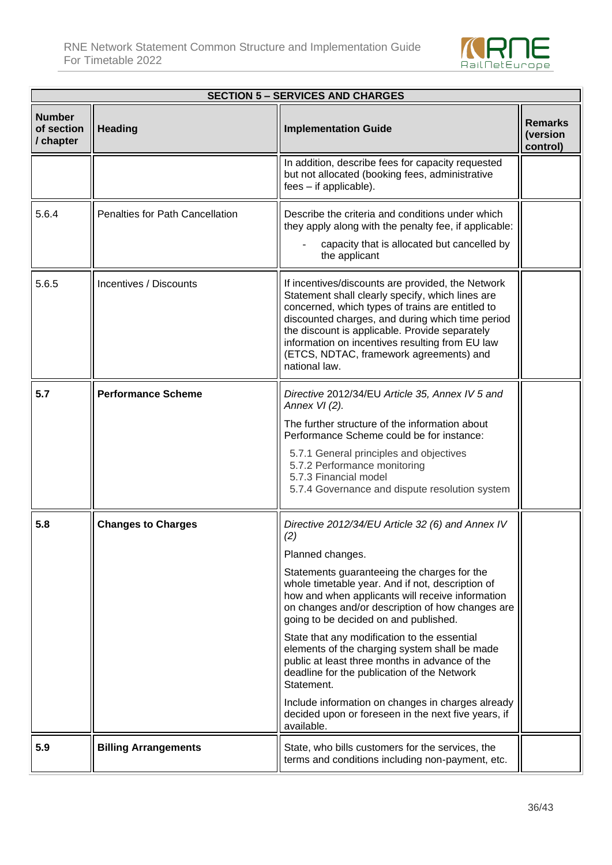

| <b>SECTION 5 – SERVICES AND CHARGES</b>  |                                 |                                                                                                                                                                                                                                                                                                                                                                                                                                                                                                                                                                                                                                                                           |                                        |  |  |
|------------------------------------------|---------------------------------|---------------------------------------------------------------------------------------------------------------------------------------------------------------------------------------------------------------------------------------------------------------------------------------------------------------------------------------------------------------------------------------------------------------------------------------------------------------------------------------------------------------------------------------------------------------------------------------------------------------------------------------------------------------------------|----------------------------------------|--|--|
| <b>Number</b><br>of section<br>/ chapter | <b>Heading</b>                  | <b>Implementation Guide</b>                                                                                                                                                                                                                                                                                                                                                                                                                                                                                                                                                                                                                                               | <b>Remarks</b><br>(version<br>control) |  |  |
|                                          |                                 | In addition, describe fees for capacity requested<br>but not allocated (booking fees, administrative<br>fees - if applicable).                                                                                                                                                                                                                                                                                                                                                                                                                                                                                                                                            |                                        |  |  |
| 5.6.4                                    | Penalties for Path Cancellation | Describe the criteria and conditions under which<br>they apply along with the penalty fee, if applicable:<br>capacity that is allocated but cancelled by<br>the applicant                                                                                                                                                                                                                                                                                                                                                                                                                                                                                                 |                                        |  |  |
| 5.6.5                                    | Incentives / Discounts          | If incentives/discounts are provided, the Network<br>Statement shall clearly specify, which lines are<br>concerned, which types of trains are entitled to<br>discounted charges, and during which time period<br>the discount is applicable. Provide separately<br>information on incentives resulting from EU law<br>(ETCS, NDTAC, framework agreements) and<br>national law.                                                                                                                                                                                                                                                                                            |                                        |  |  |
| 5.7                                      | <b>Performance Scheme</b>       | Directive 2012/34/EU Article 35, Annex IV 5 and<br>Annex VI (2).<br>The further structure of the information about<br>Performance Scheme could be for instance:<br>5.7.1 General principles and objectives<br>5.7.2 Performance monitoring<br>5.7.3 Financial model<br>5.7.4 Governance and dispute resolution system                                                                                                                                                                                                                                                                                                                                                     |                                        |  |  |
| 5.8                                      | <b>Changes to Charges</b>       | Directive 2012/34/EU Article 32 (6) and Annex IV<br>(2)<br>Planned changes.<br>Statements guaranteeing the charges for the<br>whole timetable year. And if not, description of<br>how and when applicants will receive information<br>on changes and/or description of how changes are<br>going to be decided on and published.<br>State that any modification to the essential<br>elements of the charging system shall be made<br>public at least three months in advance of the<br>deadline for the publication of the Network<br>Statement.<br>Include information on changes in charges already<br>decided upon or foreseen in the next five years, if<br>available. |                                        |  |  |
| 5.9                                      | <b>Billing Arrangements</b>     | State, who bills customers for the services, the<br>terms and conditions including non-payment, etc.                                                                                                                                                                                                                                                                                                                                                                                                                                                                                                                                                                      |                                        |  |  |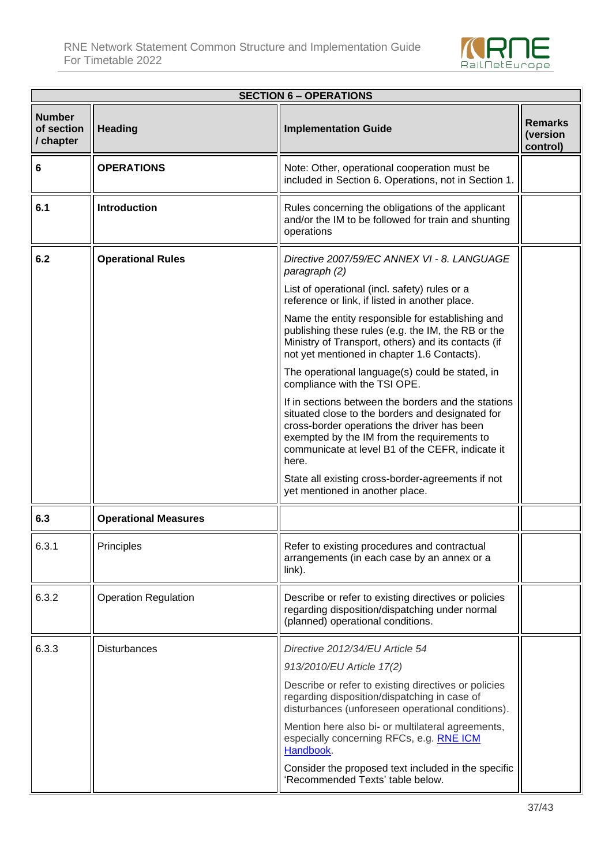

|                                          | <b>SECTION 6 - OPERATIONS</b> |                                                                                                                                                                                                                                                                    |                                        |  |
|------------------------------------------|-------------------------------|--------------------------------------------------------------------------------------------------------------------------------------------------------------------------------------------------------------------------------------------------------------------|----------------------------------------|--|
| <b>Number</b><br>of section<br>/ chapter | <b>Heading</b>                | <b>Implementation Guide</b>                                                                                                                                                                                                                                        | <b>Remarks</b><br>(version<br>control) |  |
| 6                                        | <b>OPERATIONS</b>             | Note: Other, operational cooperation must be<br>included in Section 6. Operations, not in Section 1.                                                                                                                                                               |                                        |  |
| 6.1                                      | <b>Introduction</b>           | Rules concerning the obligations of the applicant<br>and/or the IM to be followed for train and shunting<br>operations                                                                                                                                             |                                        |  |
| 6.2                                      | <b>Operational Rules</b>      | Directive 2007/59/EC ANNEX VI - 8. LANGUAGE<br>paragraph (2)                                                                                                                                                                                                       |                                        |  |
|                                          |                               | List of operational (incl. safety) rules or a<br>reference or link, if listed in another place.                                                                                                                                                                    |                                        |  |
|                                          |                               | Name the entity responsible for establishing and<br>publishing these rules (e.g. the IM, the RB or the<br>Ministry of Transport, others) and its contacts (if<br>not yet mentioned in chapter 1.6 Contacts).                                                       |                                        |  |
|                                          |                               | The operational language(s) could be stated, in<br>compliance with the TSI OPE.                                                                                                                                                                                    |                                        |  |
|                                          |                               | If in sections between the borders and the stations<br>situated close to the borders and designated for<br>cross-border operations the driver has been<br>exempted by the IM from the requirements to<br>communicate at level B1 of the CEFR, indicate it<br>here. |                                        |  |
|                                          |                               | State all existing cross-border-agreements if not<br>yet mentioned in another place.                                                                                                                                                                               |                                        |  |
| 6.3                                      | <b>Operational Measures</b>   |                                                                                                                                                                                                                                                                    |                                        |  |
| 6.3.1                                    | Principles                    | Refer to existing procedures and contractual<br>arrangements (in each case by an annex or a<br>link).                                                                                                                                                              |                                        |  |
| 6.3.2                                    | <b>Operation Regulation</b>   | Describe or refer to existing directives or policies<br>regarding disposition/dispatching under normal<br>(planned) operational conditions.                                                                                                                        |                                        |  |
| 6.3.3                                    | <b>Disturbances</b>           | Directive 2012/34/EU Article 54                                                                                                                                                                                                                                    |                                        |  |
|                                          |                               | 913/2010/EU Article 17(2)<br>Describe or refer to existing directives or policies<br>regarding disposition/dispatching in case of<br>disturbances (unforeseen operational conditions).                                                                             |                                        |  |
|                                          |                               | Mention here also bi- or multilateral agreements,<br>especially concerning RFCs, e.g. RNE ICM<br>Handbook.                                                                                                                                                         |                                        |  |
|                                          |                               | Consider the proposed text included in the specific<br>'Recommended Texts' table below.                                                                                                                                                                            |                                        |  |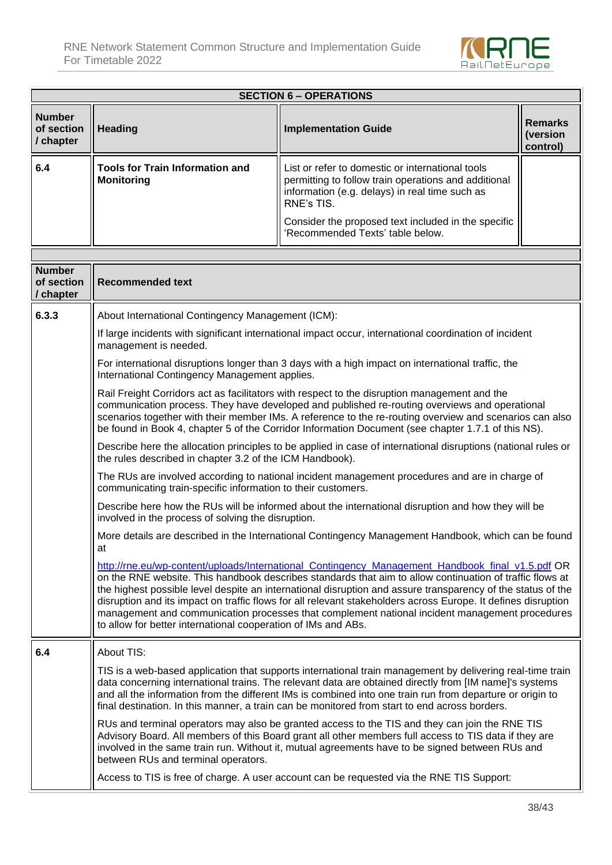

| <b>SECTION 6 - OPERATIONS</b>            |                                                                                                                                                                                                                                                                                                                                                                                                                |                                                                                                                                                                                                                                                                                                                                                                                                                                                                                                                                                |                                        |  |
|------------------------------------------|----------------------------------------------------------------------------------------------------------------------------------------------------------------------------------------------------------------------------------------------------------------------------------------------------------------------------------------------------------------------------------------------------------------|------------------------------------------------------------------------------------------------------------------------------------------------------------------------------------------------------------------------------------------------------------------------------------------------------------------------------------------------------------------------------------------------------------------------------------------------------------------------------------------------------------------------------------------------|----------------------------------------|--|
| <b>Number</b><br>of section<br>/ chapter | <b>Heading</b>                                                                                                                                                                                                                                                                                                                                                                                                 | <b>Implementation Guide</b>                                                                                                                                                                                                                                                                                                                                                                                                                                                                                                                    | <b>Remarks</b><br>(version<br>control) |  |
| 6.4                                      | <b>Tools for Train Information and</b><br><b>Monitoring</b>                                                                                                                                                                                                                                                                                                                                                    | List or refer to domestic or international tools<br>permitting to follow train operations and additional<br>information (e.g. delays) in real time such as<br>RNE's TIS.                                                                                                                                                                                                                                                                                                                                                                       |                                        |  |
|                                          |                                                                                                                                                                                                                                                                                                                                                                                                                | Consider the proposed text included in the specific<br>'Recommended Texts' table below.                                                                                                                                                                                                                                                                                                                                                                                                                                                        |                                        |  |
|                                          |                                                                                                                                                                                                                                                                                                                                                                                                                |                                                                                                                                                                                                                                                                                                                                                                                                                                                                                                                                                |                                        |  |
| <b>Number</b><br>of section<br>/ chapter | <b>Recommended text</b>                                                                                                                                                                                                                                                                                                                                                                                        |                                                                                                                                                                                                                                                                                                                                                                                                                                                                                                                                                |                                        |  |
| 6.3.3                                    | About International Contingency Management (ICM):                                                                                                                                                                                                                                                                                                                                                              |                                                                                                                                                                                                                                                                                                                                                                                                                                                                                                                                                |                                        |  |
|                                          | If large incidents with significant international impact occur, international coordination of incident<br>management is needed.                                                                                                                                                                                                                                                                                |                                                                                                                                                                                                                                                                                                                                                                                                                                                                                                                                                |                                        |  |
|                                          | For international disruptions longer than 3 days with a high impact on international traffic, the<br>International Contingency Management applies.                                                                                                                                                                                                                                                             |                                                                                                                                                                                                                                                                                                                                                                                                                                                                                                                                                |                                        |  |
|                                          | Rail Freight Corridors act as facilitators with respect to the disruption management and the<br>communication process. They have developed and published re-routing overviews and operational<br>scenarios together with their member IMs. A reference to the re-routing overview and scenarios can also<br>be found in Book 4, chapter 5 of the Corridor Information Document (see chapter 1.7.1 of this NS). |                                                                                                                                                                                                                                                                                                                                                                                                                                                                                                                                                |                                        |  |
|                                          | Describe here the allocation principles to be applied in case of international disruptions (national rules or<br>the rules described in chapter 3.2 of the ICM Handbook).                                                                                                                                                                                                                                      |                                                                                                                                                                                                                                                                                                                                                                                                                                                                                                                                                |                                        |  |
|                                          | The RUs are involved according to national incident management procedures and are in charge of<br>communicating train-specific information to their customers.                                                                                                                                                                                                                                                 |                                                                                                                                                                                                                                                                                                                                                                                                                                                                                                                                                |                                        |  |
|                                          | Describe here how the RUs will be informed about the international disruption and how they will be<br>involved in the process of solving the disruption.                                                                                                                                                                                                                                                       |                                                                                                                                                                                                                                                                                                                                                                                                                                                                                                                                                |                                        |  |
|                                          | More details are described in the International Contingency Management Handbook, which can be found<br>at                                                                                                                                                                                                                                                                                                      |                                                                                                                                                                                                                                                                                                                                                                                                                                                                                                                                                |                                        |  |
|                                          | to allow for better international cooperation of IMs and ABs.                                                                                                                                                                                                                                                                                                                                                  | http://rne.eu/wp-content/uploads/International Contingency Management Handbook final v1.5.pdf OR<br>on the RNE website. This handbook describes standards that aim to allow continuation of traffic flows at<br>the highest possible level despite an international disruption and assure transparency of the status of the<br>disruption and its impact on traffic flows for all relevant stakeholders across Europe. It defines disruption<br>management and communication processes that complement national incident management procedures |                                        |  |
| 6.4                                      | About TIS:                                                                                                                                                                                                                                                                                                                                                                                                     |                                                                                                                                                                                                                                                                                                                                                                                                                                                                                                                                                |                                        |  |
|                                          |                                                                                                                                                                                                                                                                                                                                                                                                                | TIS is a web-based application that supports international train management by delivering real-time train<br>data concerning international trains. The relevant data are obtained directly from [IM name]'s systems<br>and all the information from the different IMs is combined into one train run from departure or origin to<br>final destination. In this manner, a train can be monitored from start to end across borders.                                                                                                              |                                        |  |
|                                          | between RUs and terminal operators.                                                                                                                                                                                                                                                                                                                                                                            | RUs and terminal operators may also be granted access to the TIS and they can join the RNE TIS<br>Advisory Board. All members of this Board grant all other members full access to TIS data if they are<br>involved in the same train run. Without it, mutual agreements have to be signed between RUs and                                                                                                                                                                                                                                     |                                        |  |
|                                          |                                                                                                                                                                                                                                                                                                                                                                                                                | Access to TIS is free of charge. A user account can be requested via the RNE TIS Support:                                                                                                                                                                                                                                                                                                                                                                                                                                                      |                                        |  |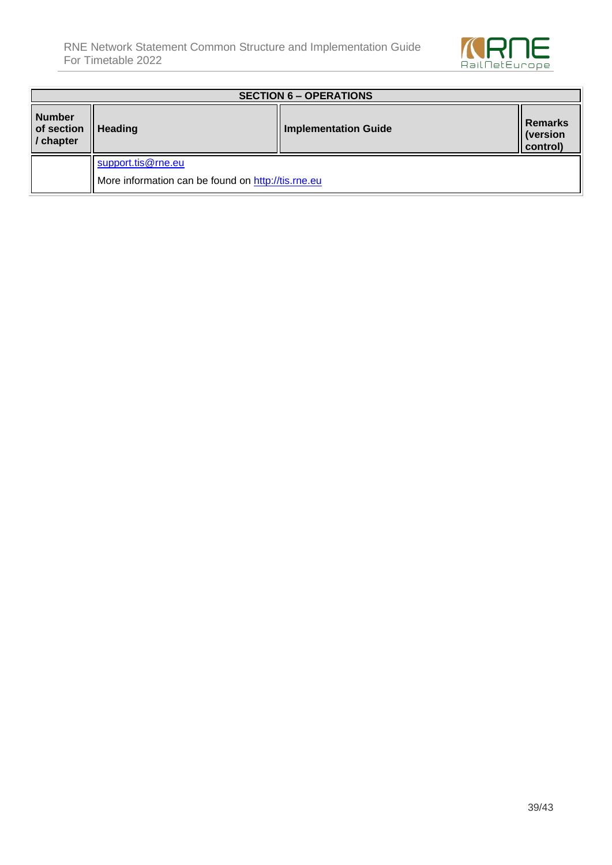

| <b>SECTION 6 – OPERATIONS</b>            |                                                    |                             |                                        |
|------------------------------------------|----------------------------------------------------|-----------------------------|----------------------------------------|
| <b>Number</b><br>of section<br>/ chapter | <b>Heading</b>                                     | <b>Implementation Guide</b> | <b>Remarks</b><br>(version<br>control) |
|                                          | support.tis@rne.eu                                 |                             |                                        |
|                                          | More information can be found on http://tis.rne.eu |                             |                                        |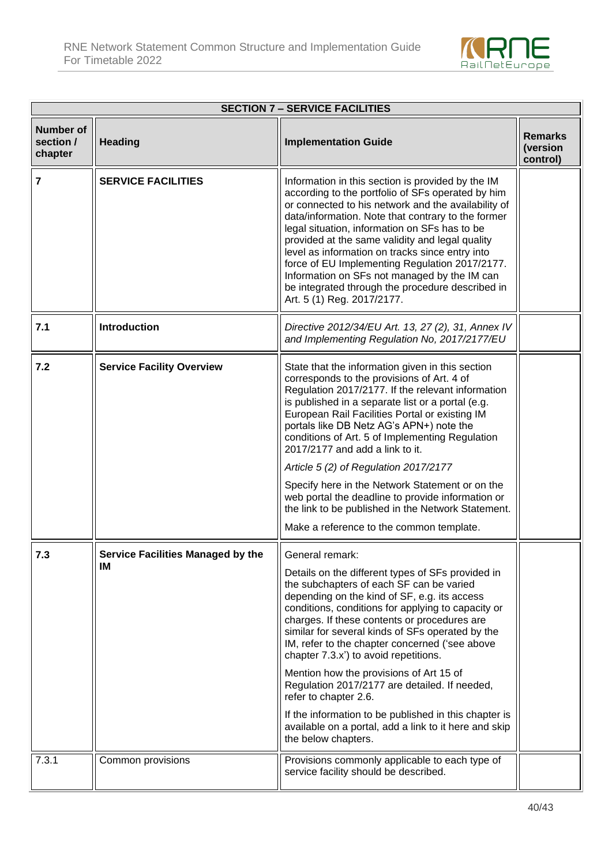

| <b>SECTION 7 - SERVICE FACILITIES</b>    |                                                |                                                                                                                                                                                                                                                                                                                                                                                                                                                                                                                                                                                                                                                                                     |                                        |  |
|------------------------------------------|------------------------------------------------|-------------------------------------------------------------------------------------------------------------------------------------------------------------------------------------------------------------------------------------------------------------------------------------------------------------------------------------------------------------------------------------------------------------------------------------------------------------------------------------------------------------------------------------------------------------------------------------------------------------------------------------------------------------------------------------|----------------------------------------|--|
| <b>Number of</b><br>section /<br>chapter | <b>Heading</b>                                 | <b>Implementation Guide</b>                                                                                                                                                                                                                                                                                                                                                                                                                                                                                                                                                                                                                                                         | <b>Remarks</b><br>(version<br>control) |  |
| $\overline{7}$                           | <b>SERVICE FACILITIES</b>                      | Information in this section is provided by the IM<br>according to the portfolio of SFs operated by him<br>or connected to his network and the availability of<br>data/information. Note that contrary to the former<br>legal situation, information on SFs has to be<br>provided at the same validity and legal quality<br>level as information on tracks since entry into<br>force of EU Implementing Regulation 2017/2177.<br>Information on SFs not managed by the IM can<br>be integrated through the procedure described in<br>Art. 5 (1) Reg. 2017/2177.                                                                                                                      |                                        |  |
| 7.1                                      | <b>Introduction</b>                            | Directive 2012/34/EU Art. 13, 27 (2), 31, Annex IV<br>and Implementing Regulation No, 2017/2177/EU                                                                                                                                                                                                                                                                                                                                                                                                                                                                                                                                                                                  |                                        |  |
| 7.2                                      | <b>Service Facility Overview</b>               | State that the information given in this section<br>corresponds to the provisions of Art. 4 of<br>Regulation 2017/2177. If the relevant information<br>is published in a separate list or a portal (e.g.<br>European Rail Facilities Portal or existing IM<br>portals like DB Netz AG's APN+) note the<br>conditions of Art. 5 of Implementing Regulation<br>2017/2177 and add a link to it.<br>Article 5 (2) of Regulation 2017/2177<br>Specify here in the Network Statement or on the<br>web portal the deadline to provide information or<br>the link to be published in the Network Statement.<br>Make a reference to the common template.                                     |                                        |  |
| 7.3                                      | <b>Service Facilities Managed by the</b><br>ΙM | General remark:<br>Details on the different types of SFs provided in<br>the subchapters of each SF can be varied<br>depending on the kind of SF, e.g. its access<br>conditions, conditions for applying to capacity or<br>charges. If these contents or procedures are<br>similar for several kinds of SFs operated by the<br>IM, refer to the chapter concerned ('see above<br>chapter 7.3.x') to avoid repetitions.<br>Mention how the provisions of Art 15 of<br>Regulation 2017/2177 are detailed. If needed,<br>refer to chapter 2.6.<br>If the information to be published in this chapter is<br>available on a portal, add a link to it here and skip<br>the below chapters. |                                        |  |
| 7.3.1                                    | Common provisions                              | Provisions commonly applicable to each type of<br>service facility should be described.                                                                                                                                                                                                                                                                                                                                                                                                                                                                                                                                                                                             |                                        |  |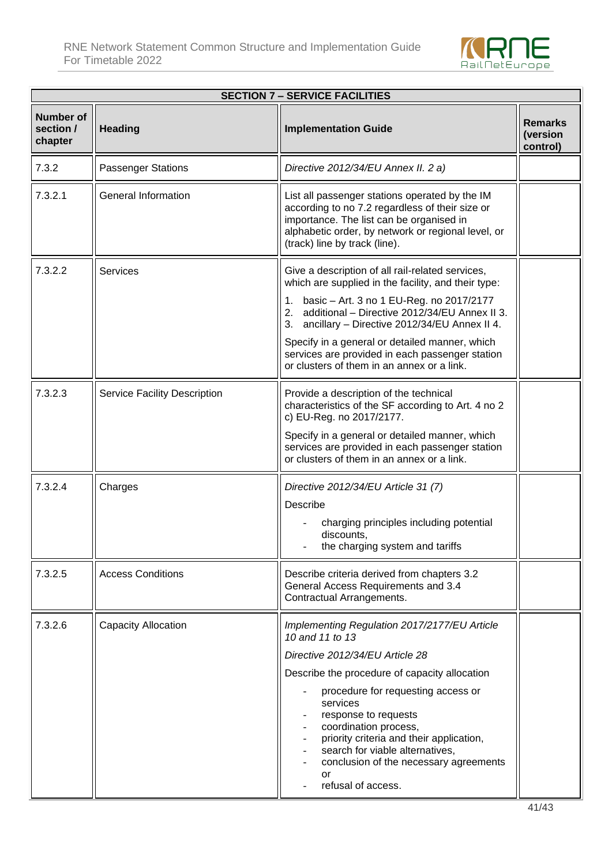

|                                          | <b>SECTION 7 - SERVICE FACILITIES</b> |                                                                                                                                                                                                                                                                                                                                                                                                                  |                                        |  |  |
|------------------------------------------|---------------------------------------|------------------------------------------------------------------------------------------------------------------------------------------------------------------------------------------------------------------------------------------------------------------------------------------------------------------------------------------------------------------------------------------------------------------|----------------------------------------|--|--|
| <b>Number of</b><br>section /<br>chapter | <b>Heading</b>                        | <b>Implementation Guide</b>                                                                                                                                                                                                                                                                                                                                                                                      | <b>Remarks</b><br>(version<br>control) |  |  |
| 7.3.2                                    | <b>Passenger Stations</b>             | Directive 2012/34/EU Annex II. 2 a)                                                                                                                                                                                                                                                                                                                                                                              |                                        |  |  |
| 7.3.2.1                                  | <b>General Information</b>            | List all passenger stations operated by the IM<br>according to no 7.2 regardless of their size or<br>importance. The list can be organised in<br>alphabetic order, by network or regional level, or<br>(track) line by track (line).                                                                                                                                                                             |                                        |  |  |
| 7.3.2.2                                  | <b>Services</b>                       | Give a description of all rail-related services,<br>which are supplied in the facility, and their type:<br>1. basic - Art. 3 no 1 EU-Reg. no 2017/2177<br>2. additional - Directive 2012/34/EU Annex II 3.<br>3. ancillary - Directive 2012/34/EU Annex II 4.<br>Specify in a general or detailed manner, which<br>services are provided in each passenger station<br>or clusters of them in an annex or a link. |                                        |  |  |
| 7.3.2.3                                  | Service Facility Description          | Provide a description of the technical<br>characteristics of the SF according to Art. 4 no 2<br>c) EU-Reg. no 2017/2177.<br>Specify in a general or detailed manner, which<br>services are provided in each passenger station<br>or clusters of them in an annex or a link.                                                                                                                                      |                                        |  |  |
| 7.3.2.4                                  | Charges                               | Directive 2012/34/EU Article 31 (7)<br>Describe<br>charging principles including potential<br>discounts,<br>the charging system and tariffs                                                                                                                                                                                                                                                                      |                                        |  |  |
| 7.3.2.5                                  | <b>Access Conditions</b>              | Describe criteria derived from chapters 3.2<br>General Access Requirements and 3.4<br>Contractual Arrangements.                                                                                                                                                                                                                                                                                                  |                                        |  |  |
| 7.3.2.6                                  | Capacity Allocation                   | Implementing Regulation 2017/2177/EU Article<br>10 and 11 to 13<br>Directive 2012/34/EU Article 28<br>Describe the procedure of capacity allocation<br>procedure for requesting access or<br>services<br>response to requests<br>coordination process,<br>priority criteria and their application,<br>search for viable alternatives,<br>conclusion of the necessary agreements<br>or<br>refusal of access.      |                                        |  |  |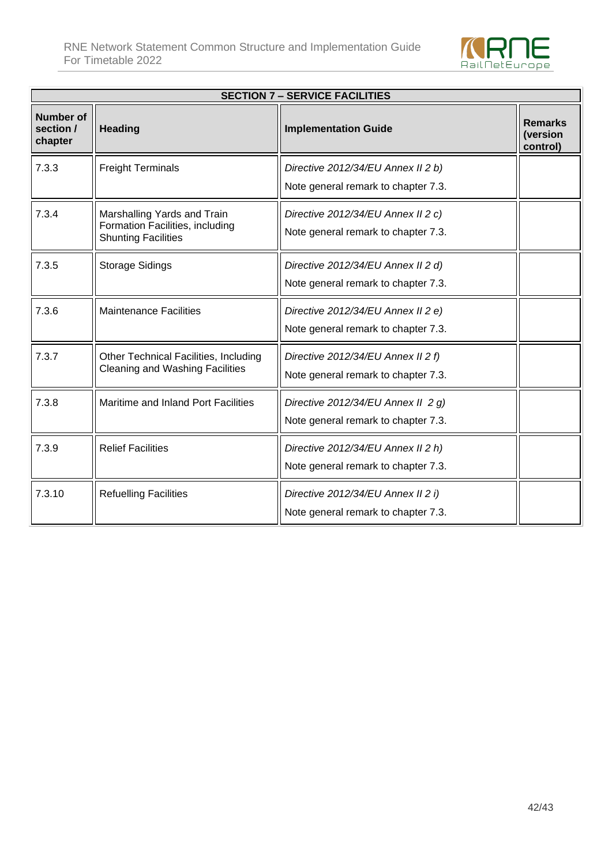

| <b>SECTION 7 - SERVICE FACILITIES</b>    |                                                                                              |                                                                           |                                        |
|------------------------------------------|----------------------------------------------------------------------------------------------|---------------------------------------------------------------------------|----------------------------------------|
| <b>Number of</b><br>section /<br>chapter | <b>Heading</b>                                                                               | <b>Implementation Guide</b>                                               | <b>Remarks</b><br>(version<br>control) |
| 7.3.3                                    | <b>Freight Terminals</b>                                                                     | Directive 2012/34/EU Annex II 2 b)<br>Note general remark to chapter 7.3. |                                        |
| 7.3.4                                    | Marshalling Yards and Train<br>Formation Facilities, including<br><b>Shunting Facilities</b> | Directive 2012/34/EU Annex II 2 c)<br>Note general remark to chapter 7.3. |                                        |
| 7.3.5                                    | <b>Storage Sidings</b>                                                                       | Directive 2012/34/EU Annex II 2 d)<br>Note general remark to chapter 7.3. |                                        |
| 7.3.6                                    | <b>Maintenance Facilities</b>                                                                | Directive 2012/34/EU Annex II 2 e)<br>Note general remark to chapter 7.3. |                                        |
| 7.3.7                                    | Other Technical Facilities, Including<br><b>Cleaning and Washing Facilities</b>              | Directive 2012/34/EU Annex II 2 f)<br>Note general remark to chapter 7.3. |                                        |
| 7.3.8                                    | Maritime and Inland Port Facilities                                                          | Directive 2012/34/EU Annex II 2 g)<br>Note general remark to chapter 7.3. |                                        |
| 7.3.9                                    | <b>Relief Facilities</b>                                                                     | Directive 2012/34/EU Annex II 2 h)<br>Note general remark to chapter 7.3. |                                        |
| 7.3.10                                   | <b>Refuelling Facilities</b>                                                                 | Directive 2012/34/EU Annex II 2 i)<br>Note general remark to chapter 7.3. |                                        |